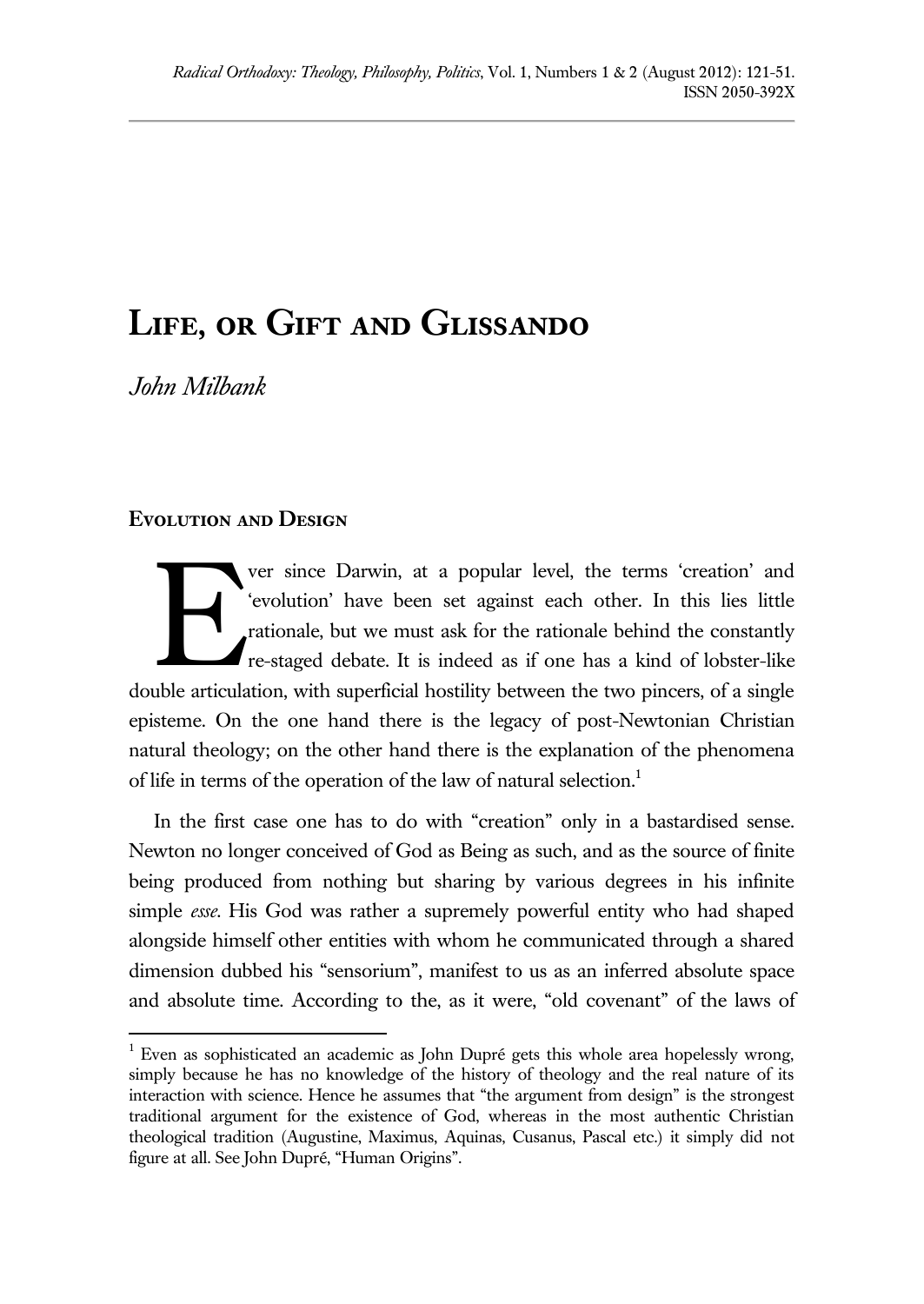# **Life, or Gift and Glissando**

*John Milbank*

 $\overline{a}$ 

## **Evolution and Design**

ver since Darwin, at a popular level, the terms 'creation' and 'evolution' have been set against each other. In this lies little rationale, but we must ask for the rationale behind the constantly re-staged debate. It is indeed as if one has a kind of lobster-like double articulation, with superficial hostility between the two pincers, of a single episteme. On the one hand there is the legacy of post-Newtonian Christian natural theology; on the other hand there is the explanation of the phenomena of life in terms of the operation of the law of natural selection.<sup>1</sup> E

In the first case one has to do with "creation" only in a bastardised sense. Newton no longer conceived of God as Being as such, and as the source of finite being produced from nothing but sharing by various degrees in his infinite simple *esse*. His God was rather a supremely powerful entity who had shaped alongside himself other entities with whom he communicated through a shared dimension dubbed his "sensorium", manifest to us as an inferred absolute space and absolute time. According to the, as it were, "old covenant" of the laws of

 $1$  Even as sophisticated an academic as John Dupré gets this whole area hopelessly wrong, simply because he has no knowledge of the history of theology and the real nature of its interaction with science. Hence he assumes that "the argument from design" is the strongest traditional argument for the existence of God, whereas in the most authentic Christian theological tradition (Augustine, Maximus, Aquinas, Cusanus, Pascal etc.) it simply did not figure at all. See John Dupré, "Human Origins".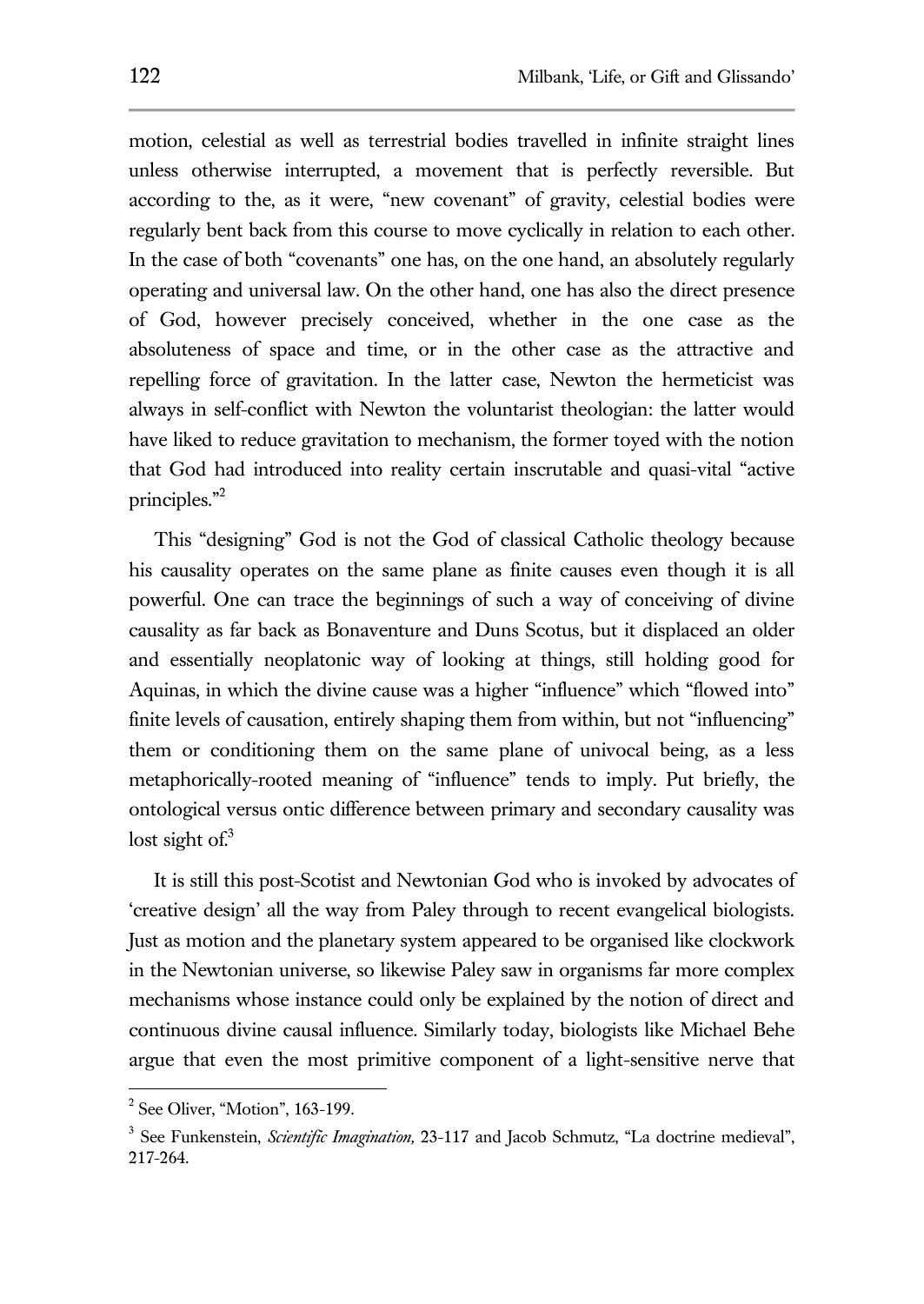motion, celestial as well as terrestrial bodies travelled in infinite straight lines unless otherwise interrupted, a movement that is perfectly reversible. But according to the, as it were, "new covenant" of gravity, celestial bodies were regularly bent back from this course to move cyclically in relation to each other. In the case of both "covenants" one has, on the one hand, an absolutely regularly operating and universal law. On the other hand, one has also the direct presence of God, however precisely conceived, whether in the one case as the absoluteness of space and time, or in the other case as the attractive and repelling force of gravitation. In the latter case, Newton the hermeticist was always in self-conflict with Newton the voluntarist theologian: the latter would have liked to reduce gravitation to mechanism, the former toyed with the notion that God had introduced into reality certain inscrutable and quasi-vital "active principles."<sup>2</sup>

This "designing" God is not the God of classical Catholic theology because his causality operates on the same plane as finite causes even though it is all powerful. One can trace the beginnings of such a way of conceiving of divine causality as far back as Bonaventure and Duns Scotus, but it displaced an older and essentially neoplatonic way of looking at things, still holding good for Aquinas, in which the divine cause was a higher "influence" which "flowed into" finite levels of causation, entirely shaping them from within, but not "influencing" them or conditioning them on the same plane of univocal being, as a less metaphorically-rooted meaning of "influence" tends to imply. Put briefly, the ontological versus ontic difference between primary and secondary causality was lost sight of. $3$ 

It is still this post-Scotist and Newtonian God who is invoked by advocates of 'creative design' all the way from Paley through to recent evangelical biologists. Just as motion and the planetary system appeared to be organised like clockwork in the Newtonian universe, so likewise Paley saw in organisms far more complex mechanisms whose instance could only be explained by the notion of direct and continuous divine causal influence. Similarly today, biologists like Michael Behe argue that even the most primitive component of a light-sensitive nerve that

<sup>&</sup>lt;sup>2</sup> See Oliver, "Motion", 163-199.

<sup>&</sup>lt;sup>3</sup> See Funkenstein, *Scientific Imagination*, 23-117 and Jacob Schmutz, "La doctrine medieval", 217-264.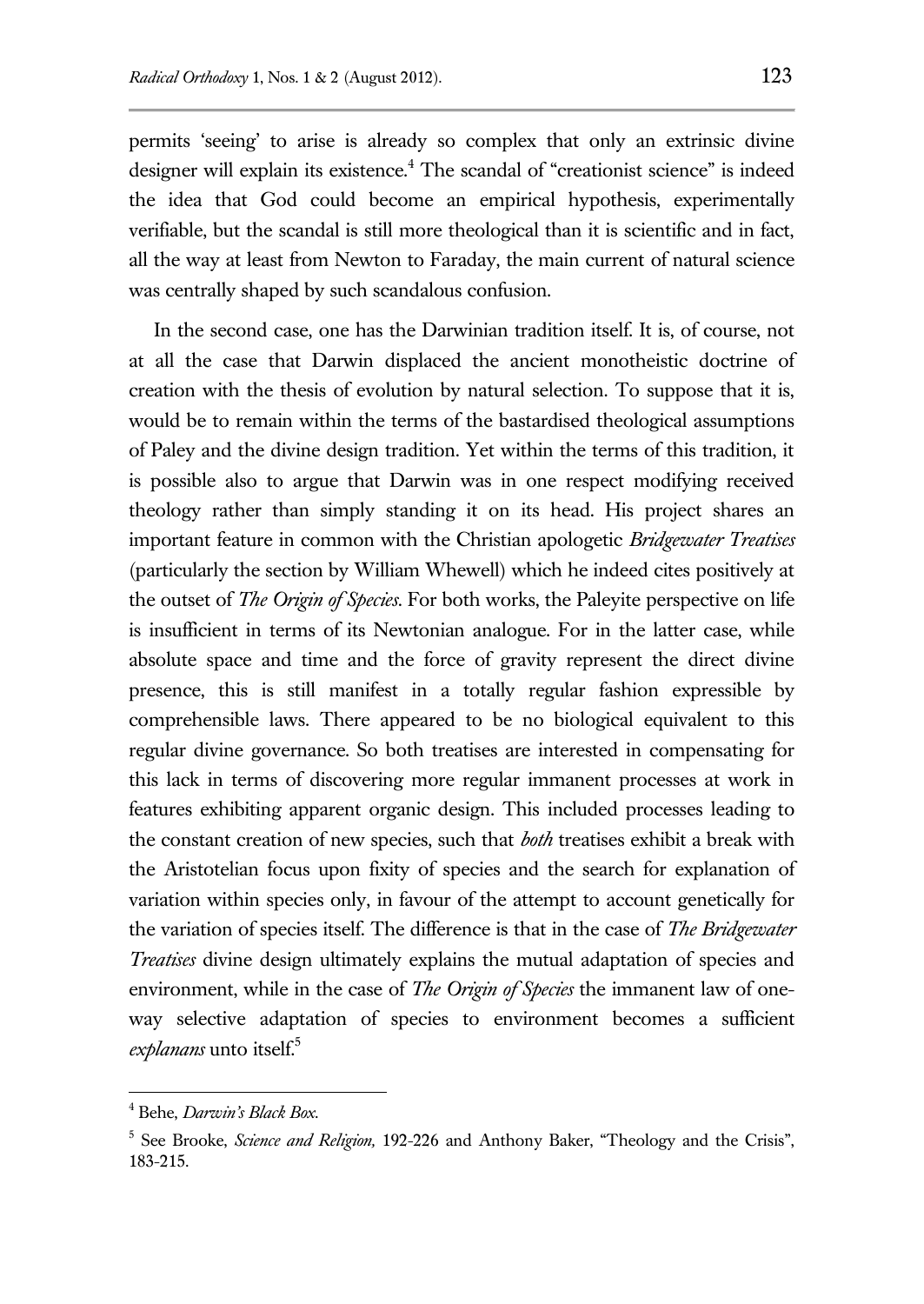permits 'seeing' to arise is already so complex that only an extrinsic divine designer will explain its existence.<sup>4</sup> The scandal of "creationist science" is indeed the idea that God could become an empirical hypothesis, experimentally verifiable, but the scandal is still more theological than it is scientific and in fact, all the way at least from Newton to Faraday, the main current of natural science was centrally shaped by such scandalous confusion.

In the second case, one has the Darwinian tradition itself. It is, of course, not at all the case that Darwin displaced the ancient monotheistic doctrine of creation with the thesis of evolution by natural selection. To suppose that it is, would be to remain within the terms of the bastardised theological assumptions of Paley and the divine design tradition. Yet within the terms of this tradition, it is possible also to argue that Darwin was in one respect modifying received theology rather than simply standing it on its head. His project shares an important feature in common with the Christian apologetic *Bridgewater Treatises* (particularly the section by William Whewell) which he indeed cites positively at the outset of *The Origin of Species.* For both works, the Paleyite perspective on life is insufficient in terms of its Newtonian analogue. For in the latter case, while absolute space and time and the force of gravity represent the direct divine presence, this is still manifest in a totally regular fashion expressible by comprehensible laws. There appeared to be no biological equivalent to this regular divine governance. So both treatises are interested in compensating for this lack in terms of discovering more regular immanent processes at work in features exhibiting apparent organic design. This included processes leading to the constant creation of new species, such that *both* treatises exhibit a break with the Aristotelian focus upon fixity of species and the search for explanation of variation within species only, in favour of the attempt to account genetically for the variation of species itself. The difference is that in the case of *The Bridgewater Treatises* divine design ultimately explains the mutual adaptation of species and environment, while in the case of *The Origin of Species* the immanent law of oneway selective adaptation of species to environment becomes a sufficient *explanans* unto itself.<sup>5</sup>

<sup>4</sup> Behe, *Darwin's Black Box.* 

<sup>&</sup>lt;sup>5</sup> See Brooke, *Science and Religion*, 192-226 and Anthony Baker, "Theology and the Crisis", 183-215.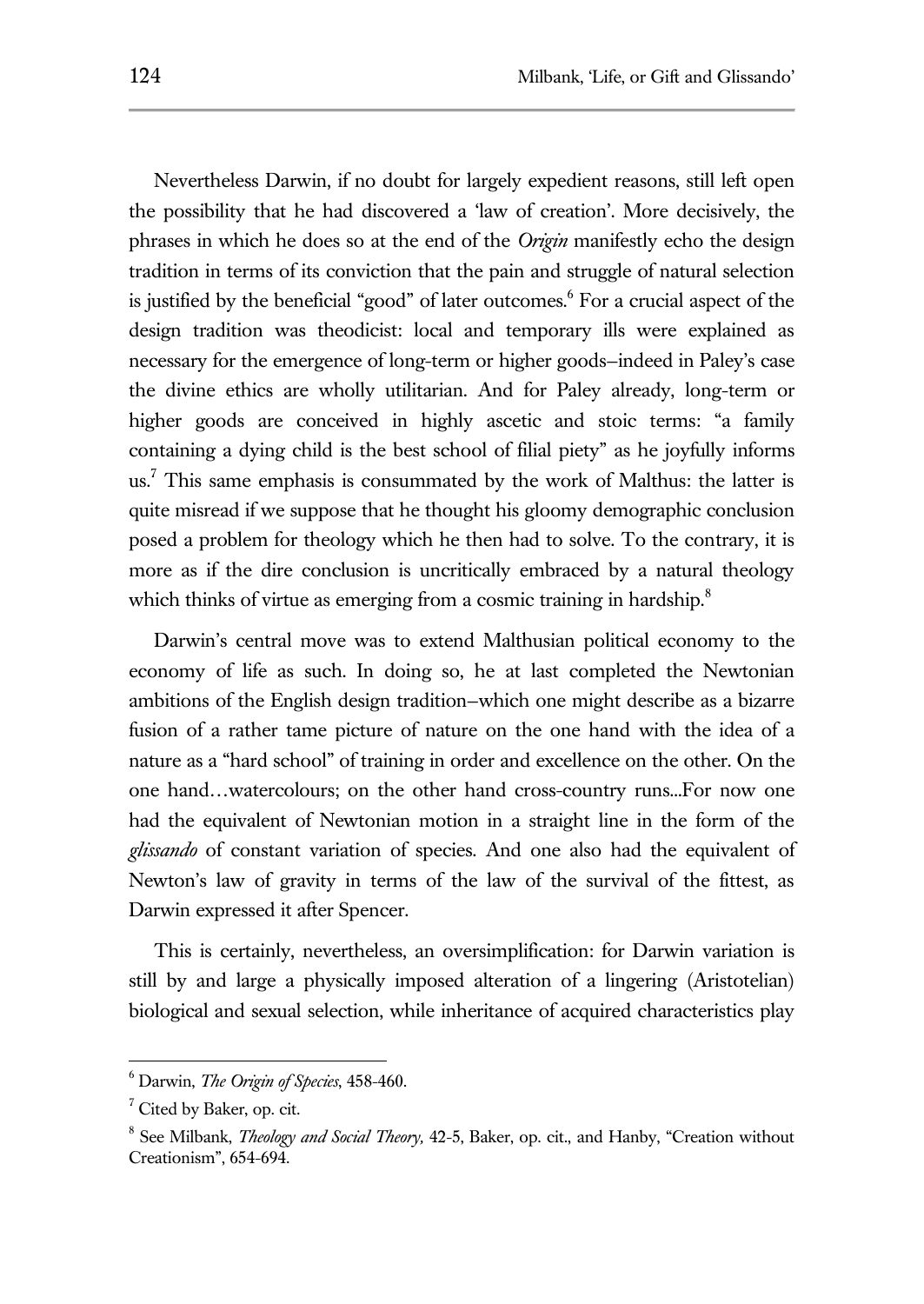Nevertheless Darwin, if no doubt for largely expedient reasons, still left open the possibility that he had discovered a 'law of creation'. More decisively, the phrases in which he does so at the end of the *Origin* manifestly echo the design tradition in terms of its conviction that the pain and struggle of natural selection is justified by the beneficial "good" of later outcomes.<sup>6</sup> For a crucial aspect of the design tradition was theodicist: local and temporary ills were explained as necessary for the emergence of long-term or higher goods—indeed in Paley's case the divine ethics are wholly utilitarian. And for Paley already, long-term or higher goods are conceived in highly ascetic and stoic terms: "a family containing a dying child is the best school of filial piety" as he joyfully informs us.<sup>7</sup> This same emphasis is consummated by the work of Malthus: the latter is quite misread if we suppose that he thought his gloomy demographic conclusion posed a problem for theology which he then had to solve. To the contrary, it is more as if the dire conclusion is uncritically embraced by a natural theology which thinks of virtue as emerging from a cosmic training in hardship.<sup>8</sup>

Darwin's central move was to extend Malthusian political economy to the economy of life as such. In doing so, he at last completed the Newtonian ambitions of the English design tradition—which one might describe as a bizarre fusion of a rather tame picture of nature on the one hand with the idea of a nature as a "hard school" of training in order and excellence on the other. On the one hand…watercolours; on the other hand cross-country runs...For now one had the equivalent of Newtonian motion in a straight line in the form of the *glissando* of constant variation of species. And one also had the equivalent of Newton's law of gravity in terms of the law of the survival of the fittest, as Darwin expressed it after Spencer.

This is certainly, nevertheless, an oversimplification: for Darwin variation is still by and large a physically imposed alteration of a lingering (Aristotelian) biological and sexual selection, while inheritance of acquired characteristics play

<sup>6</sup> Darwin, *The Origin of Species*, 458-460.

 $7$  Cited by Baker, op. cit.

<sup>8</sup> See Milbank, *Theology and Social Theory,* 42-5, Baker, op. cit., and Hanby, "Creation without Creationism", 654-694.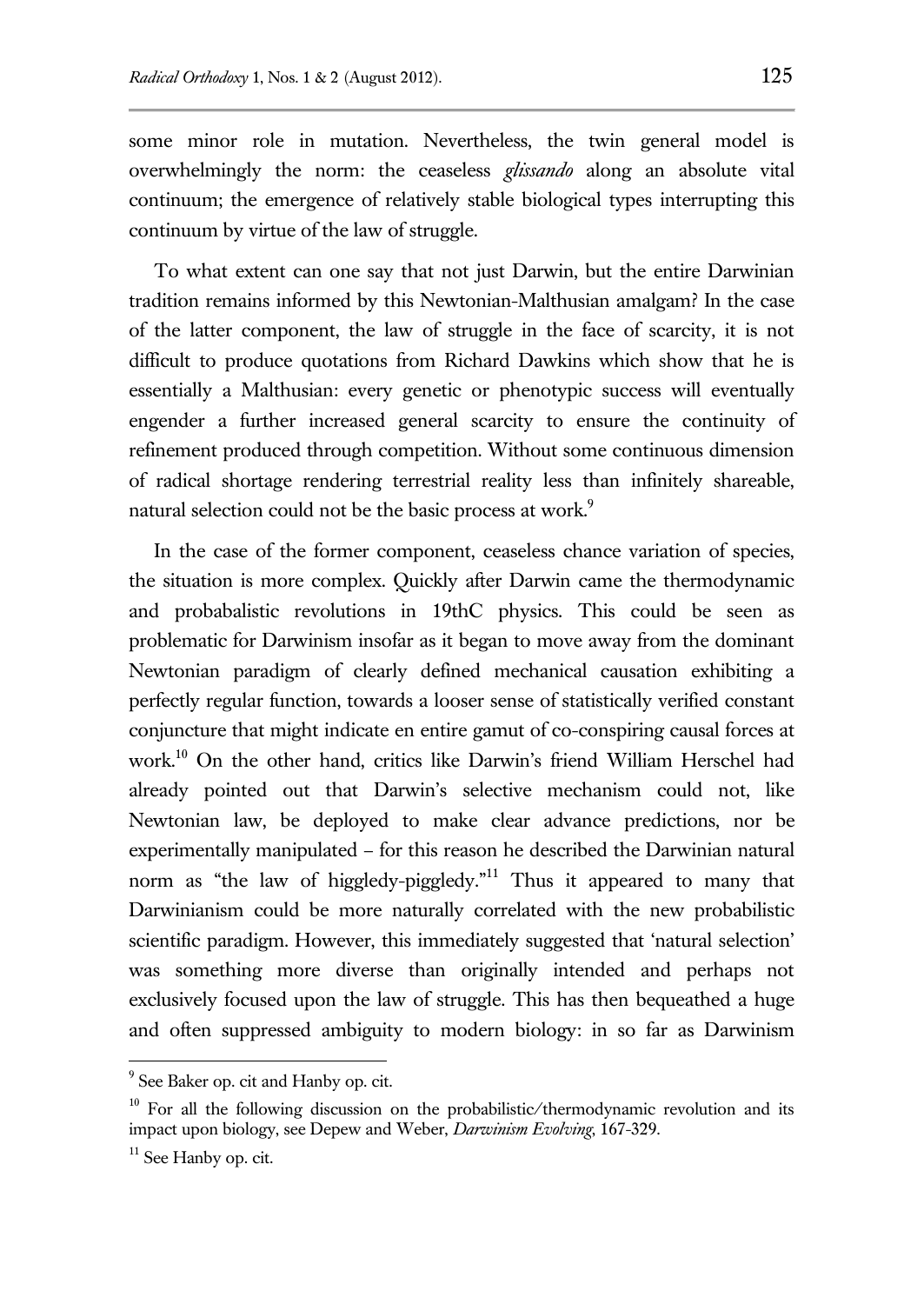some minor role in mutation. Nevertheless, the twin general model is overwhelmingly the norm: the ceaseless *glissando* along an absolute vital continuum; the emergence of relatively stable biological types interrupting this continuum by virtue of the law of struggle.

To what extent can one say that not just Darwin, but the entire Darwinian tradition remains informed by this Newtonian-Malthusian amalgam? In the case of the latter component, the law of struggle in the face of scarcity, it is not difficult to produce quotations from Richard Dawkins which show that he is essentially a Malthusian: every genetic or phenotypic success will eventually engender a further increased general scarcity to ensure the continuity of refinement produced through competition. Without some continuous dimension of radical shortage rendering terrestrial reality less than infinitely shareable, natural selection could not be the basic process at work.<sup>9</sup>

In the case of the former component, ceaseless chance variation of species, the situation is more complex. Quickly after Darwin came the thermodynamic and probabalistic revolutions in 19thC physics. This could be seen as problematic for Darwinism insofar as it began to move away from the dominant Newtonian paradigm of clearly defined mechanical causation exhibiting a perfectly regular function, towards a looser sense of statistically verified constant conjuncture that might indicate en entire gamut of co-conspiring causal forces at work.<sup>10</sup> On the other hand, critics like Darwin's friend William Herschel had already pointed out that Darwin's selective mechanism could not, like Newtonian law, be deployed to make clear advance predictions, nor be experimentally manipulated – for this reason he described the Darwinian natural norm as "the law of higgledy-piggledy."<sup>11</sup> Thus it appeared to many that Darwinianism could be more naturally correlated with the new probabilistic scientific paradigm. However, this immediately suggested that 'natural selection' was something more diverse than originally intended and perhaps not exclusively focused upon the law of struggle. This has then bequeathed a huge and often suppressed ambiguity to modern biology: in so far as Darwinism

 9 See Baker op. cit and Hanby op. cit.

 $10$  For all the following discussion on the probabilistic/thermodynamic revolution and its impact upon biology, see Depew and Weber, *Darwinism Evolving*, 167-329.

<sup>&</sup>lt;sup>11</sup> See Hanby op. cit.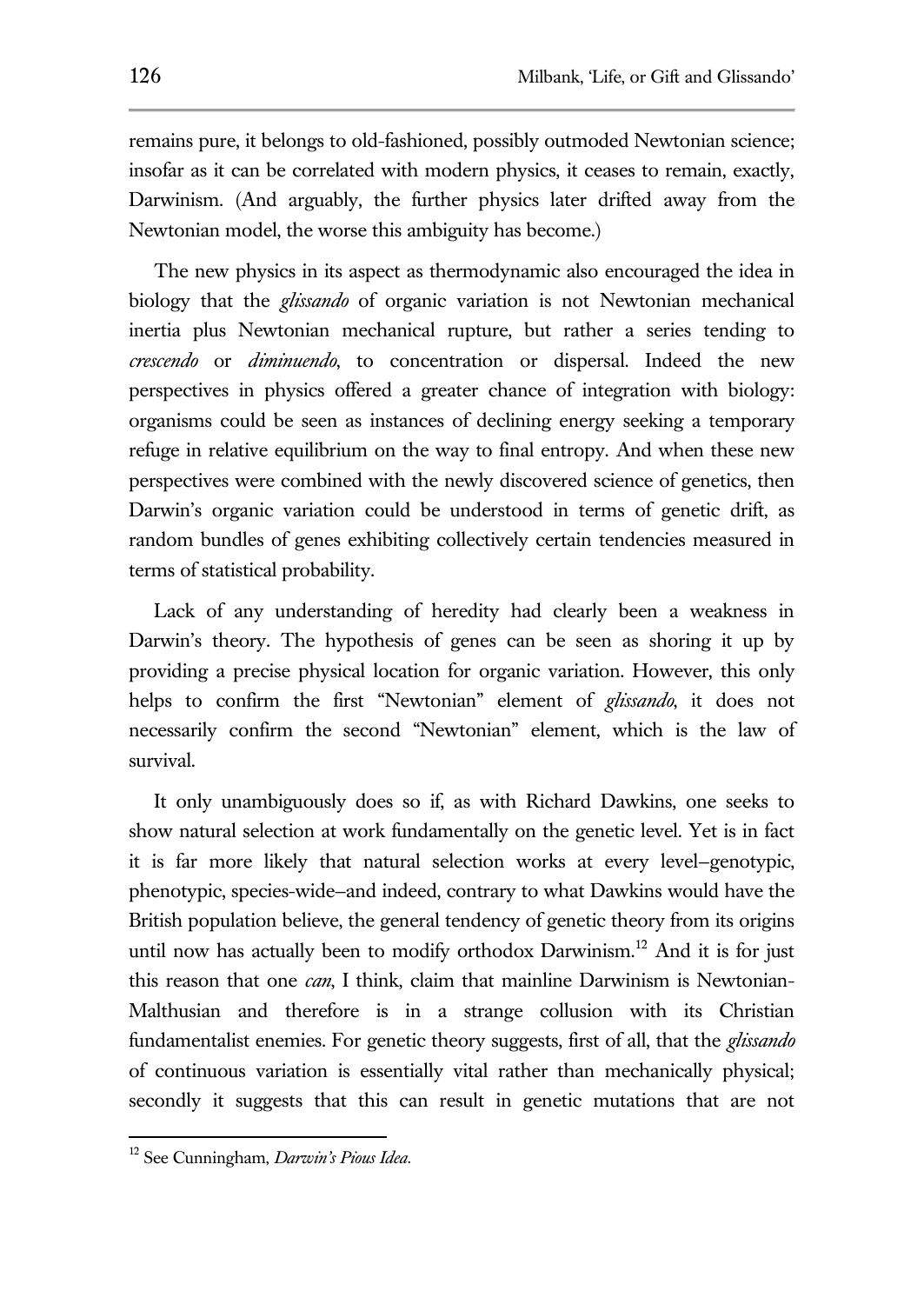remains pure, it belongs to old-fashioned, possibly outmoded Newtonian science; insofar as it can be correlated with modern physics, it ceases to remain, exactly, Darwinism. (And arguably, the further physics later drifted away from the Newtonian model, the worse this ambiguity has become.)

The new physics in its aspect as thermodynamic also encouraged the idea in biology that the *glissando* of organic variation is not Newtonian mechanical inertia plus Newtonian mechanical rupture, but rather a series tending to *crescendo* or *diminuendo*, to concentration or dispersal. Indeed the new perspectives in physics offered a greater chance of integration with biology: organisms could be seen as instances of declining energy seeking a temporary refuge in relative equilibrium on the way to final entropy. And when these new perspectives were combined with the newly discovered science of genetics, then Darwin's organic variation could be understood in terms of genetic drift, as random bundles of genes exhibiting collectively certain tendencies measured in terms of statistical probability.

Lack of any understanding of heredity had clearly been a weakness in Darwin's theory. The hypothesis of genes can be seen as shoring it up by providing a precise physical location for organic variation. However, this only helps to confirm the first "Newtonian" element of *glissando*, it does not necessarily confirm the second "Newtonian" element, which is the law of survival.

It only unambiguously does so if, as with Richard Dawkins, one seeks to show natural selection at work fundamentally on the genetic level. Yet is in fact it is far more likely that natural selection works at every level—genotypic, phenotypic, species-wide—and indeed, contrary to what Dawkins would have the British population believe, the general tendency of genetic theory from its origins until now has actually been to modify orthodox Darwinism.<sup>12</sup> And it is for just this reason that one *can*, I think, claim that mainline Darwinism is Newtonian-Malthusian and therefore is in a strange collusion with its Christian fundamentalist enemies. For genetic theory suggests, first of all, that the *glissando* of continuous variation is essentially vital rather than mechanically physical; secondly it suggests that this can result in genetic mutations that are not

<sup>12</sup> See Cunningham, *Darwin's Pious Idea.*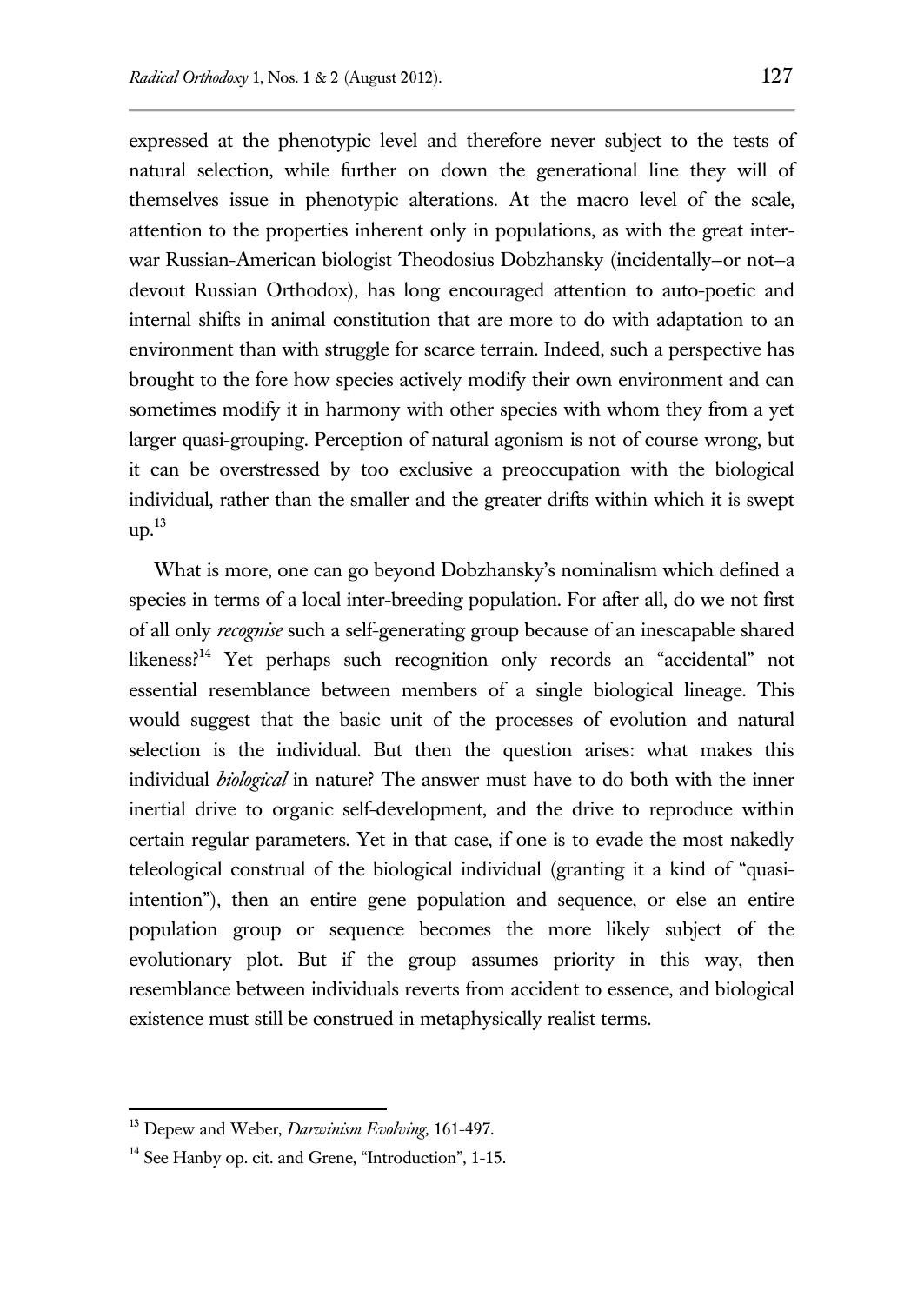expressed at the phenotypic level and therefore never subject to the tests of natural selection, while further on down the generational line they will of themselves issue in phenotypic alterations. At the macro level of the scale, attention to the properties inherent only in populations, as with the great interwar Russian-American biologist Theodosius Dobzhansky (incidentally—or not—a devout Russian Orthodox), has long encouraged attention to auto-poetic and internal shifts in animal constitution that are more to do with adaptation to an environment than with struggle for scarce terrain. Indeed, such a perspective has brought to the fore how species actively modify their own environment and can sometimes modify it in harmony with other species with whom they from a yet larger quasi-grouping. Perception of natural agonism is not of course wrong, but it can be overstressed by too exclusive a preoccupation with the biological individual, rather than the smaller and the greater drifts within which it is swept  $\mathbf{u}$ .  $^{13}$ 

What is more, one can go beyond Dobzhansky's nominalism which defined a species in terms of a local inter-breeding population. For after all, do we not first of all only *recognise* such a self-generating group because of an inescapable shared likeness?<sup>14</sup> Yet perhaps such recognition only records an "accidental" not essential resemblance between members of a single biological lineage. This would suggest that the basic unit of the processes of evolution and natural selection is the individual. But then the question arises: what makes this individual *biological* in nature? The answer must have to do both with the inner inertial drive to organic self-development, and the drive to reproduce within certain regular parameters. Yet in that case, if one is to evade the most nakedly teleological construal of the biological individual (granting it a kind of "quasiintention"), then an entire gene population and sequence, or else an entire population group or sequence becomes the more likely subject of the evolutionary plot. But if the group assumes priority in this way, then resemblance between individuals reverts from accident to essence, and biological existence must still be construed in metaphysically realist terms.

<sup>13</sup> Depew and Weber, *Darwinism Evolving,* 161-497.

<sup>&</sup>lt;sup>14</sup> See Hanby op. cit. and Grene, "Introduction", 1-15.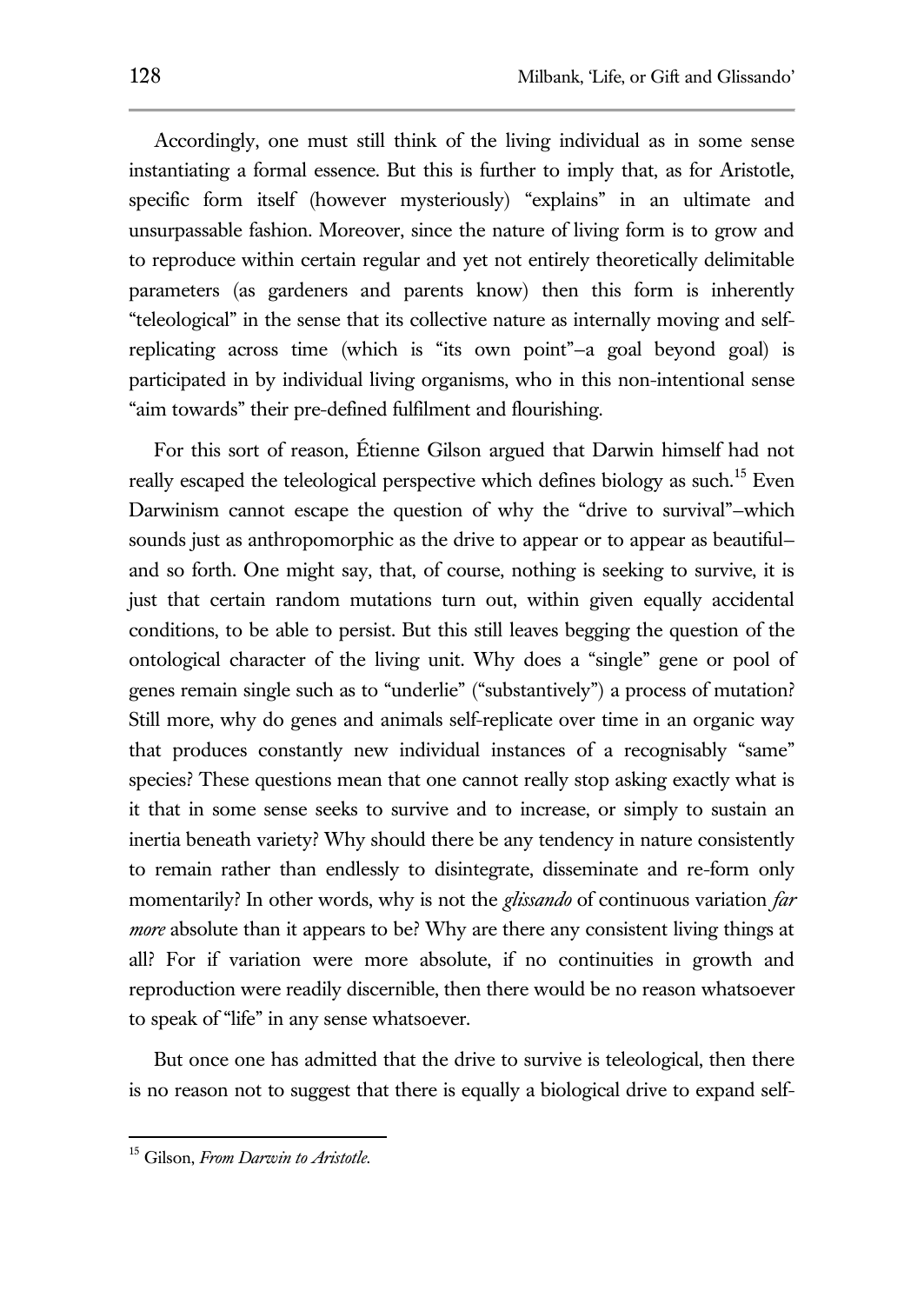Accordingly, one must still think of the living individual as in some sense instantiating a formal essence. But this is further to imply that, as for Aristotle, specific form itself (however mysteriously) "explains" in an ultimate and unsurpassable fashion. Moreover, since the nature of living form is to grow and to reproduce within certain regular and yet not entirely theoretically delimitable parameters (as gardeners and parents know) then this form is inherently "teleological" in the sense that its collective nature as internally moving and selfreplicating across time (which is "its own point"—a goal beyond goal) is participated in by individual living organisms, who in this non-intentional sense "aim towards" their pre-defined fulfilment and flourishing.

For this sort of reason, Étienne Gilson argued that Darwin himself had not really escaped the teleological perspective which defines biology as such.<sup>15</sup> Even Darwinism cannot escape the question of why the "drive to survival"—which sounds just as anthropomorphic as the drive to appear or to appear as beautiful– and so forth. One might say, that, of course, nothing is seeking to survive, it is just that certain random mutations turn out, within given equally accidental conditions, to be able to persist. But this still leaves begging the question of the ontological character of the living unit. Why does a "single" gene or pool of genes remain single such as to "underlie" ("substantively") a process of mutation? Still more, why do genes and animals self-replicate over time in an organic way that produces constantly new individual instances of a recognisably "same" species? These questions mean that one cannot really stop asking exactly what is it that in some sense seeks to survive and to increase, or simply to sustain an inertia beneath variety? Why should there be any tendency in nature consistently to remain rather than endlessly to disintegrate, disseminate and re-form only momentarily? In other words, why is not the *glissando* of continuous variation *far more* absolute than it appears to be? Why are there any consistent living things at all? For if variation were more absolute, if no continuities in growth and reproduction were readily discernible, then there would be no reason whatsoever to speak of "life" in any sense whatsoever.

But once one has admitted that the drive to survive is teleological, then there is no reason not to suggest that there is equally a biological drive to expand self-

<sup>15</sup> Gilson, *From Darwin to Aristotle.*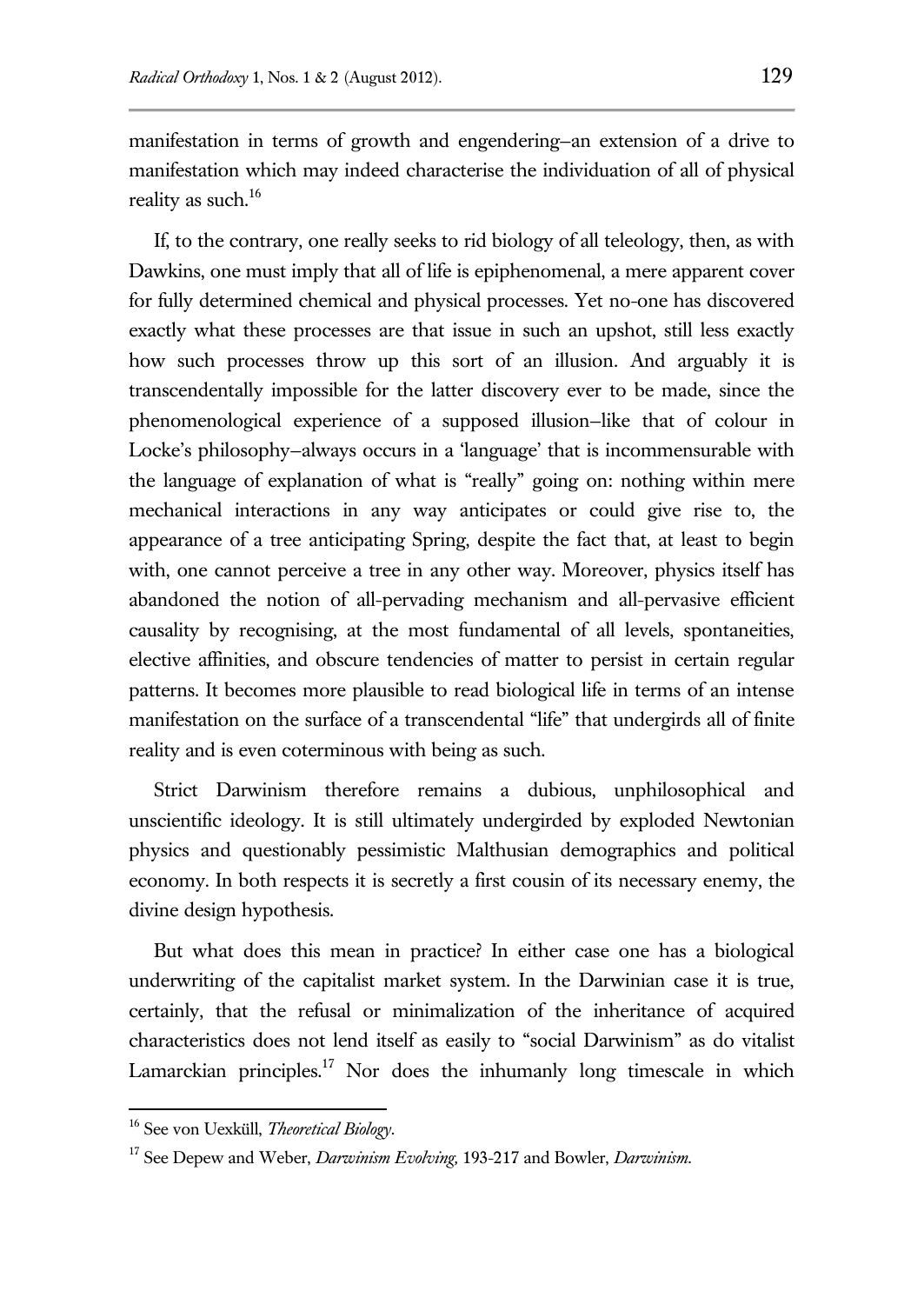manifestation in terms of growth and engendering—an extension of a drive to manifestation which may indeed characterise the individuation of all of physical reality as such.<sup>16</sup>

If, to the contrary, one really seeks to rid biology of all teleology, then, as with Dawkins, one must imply that all of life is epiphenomenal, a mere apparent cover for fully determined chemical and physical processes. Yet no-one has discovered exactly what these processes are that issue in such an upshot, still less exactly how such processes throw up this sort of an illusion. And arguably it is transcendentally impossible for the latter discovery ever to be made, since the phenomenological experience of a supposed illusion—like that of colour in Locke's philosophy—always occurs in a 'language' that is incommensurable with the language of explanation of what is "really" going on: nothing within mere mechanical interactions in any way anticipates or could give rise to, the appearance of a tree anticipating Spring, despite the fact that, at least to begin with, one cannot perceive a tree in any other way. Moreover, physics itself has abandoned the notion of all-pervading mechanism and all-pervasive efficient causality by recognising, at the most fundamental of all levels, spontaneities, elective affinities, and obscure tendencies of matter to persist in certain regular patterns. It becomes more plausible to read biological life in terms of an intense manifestation on the surface of a transcendental "life" that undergirds all of finite reality and is even coterminous with being as such.

Strict Darwinism therefore remains a dubious, unphilosophical and unscientific ideology. It is still ultimately undergirded by exploded Newtonian physics and questionably pessimistic Malthusian demographics and political economy. In both respects it is secretly a first cousin of its necessary enemy, the divine design hypothesis.

But what does this mean in practice? In either case one has a biological underwriting of the capitalist market system. In the Darwinian case it is true, certainly, that the refusal or minimalization of the inheritance of acquired characteristics does not lend itself as easily to "social Darwinism" as do vitalist Lamarckian principles.<sup>17</sup> Nor does the inhumanly long timescale in which

<sup>16</sup> See von Uexküll, *Theoretical Biology.*

<sup>17</sup> See Depew and Weber, *Darwinism Evolving,* 193-217 and Bowler, *Darwinism*.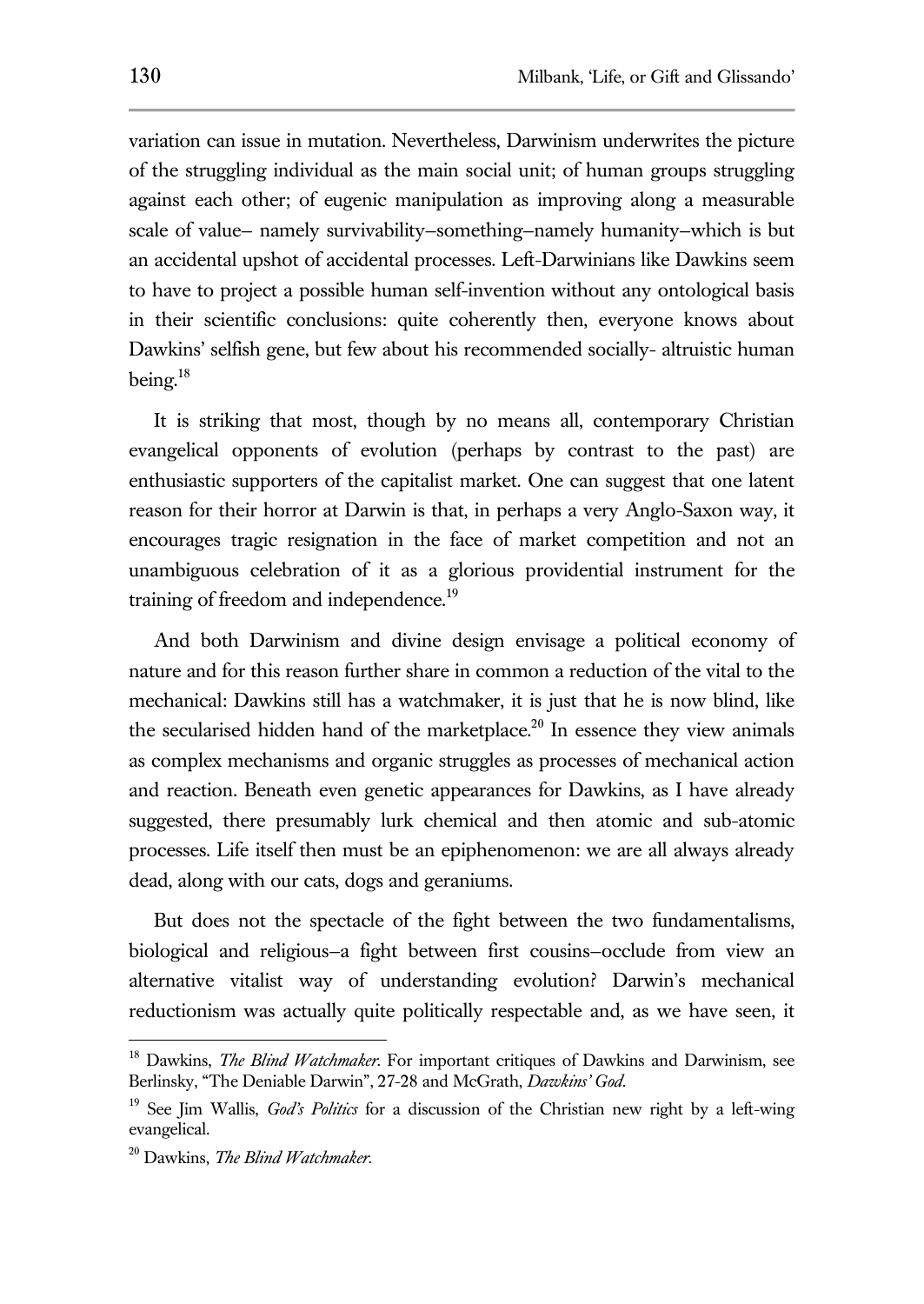variation can issue in mutation. Nevertheless, Darwinism underwrites the picture of the struggling individual as the main social unit; of human groups struggling against each other; of eugenic manipulation as improving along a measurable scale of value— namely survivability—something—namely humanity—which is but an accidental upshot of accidental processes. Left-Darwinians like Dawkins seem to have to project a possible human self-invention without any ontological basis in their scientific conclusions: quite coherently then, everyone knows about Dawkins' selfish gene, but few about his recommended socially- altruistic human being. $18$ 

It is striking that most, though by no means all, contemporary Christian evangelical opponents of evolution (perhaps by contrast to the past) are enthusiastic supporters of the capitalist market. One can suggest that one latent reason for their horror at Darwin is that, in perhaps a very Anglo-Saxon way, it encourages tragic resignation in the face of market competition and not an unambiguous celebration of it as a glorious providential instrument for the training of freedom and independence.<sup>19</sup>

And both Darwinism and divine design envisage a political economy of nature and for this reason further share in common a reduction of the vital to the mechanical: Dawkins still has a watchmaker, it is just that he is now blind, like the secularised hidden hand of the marketplace.<sup>20</sup> In essence they view animals as complex mechanisms and organic struggles as processes of mechanical action and reaction. Beneath even genetic appearances for Dawkins, as I have already suggested, there presumably lurk chemical and then atomic and sub-atomic processes. Life itself then must be an epiphenomenon: we are all always already dead, along with our cats, dogs and geraniums.

But does not the spectacle of the fight between the two fundamentalisms, biological and religious—a fight between first cousins—occlude from view an alternative vitalist way of understanding evolution? Darwin's mechanical reductionism was actually quite politically respectable and, as we have seen, it

<sup>&</sup>lt;sup>18</sup> Dawkins, *The Blind Watchmaker*. For important critiques of Dawkins and Darwinism, see Berlinsky, "The Deniable Darwin", 27-28 and McGrath, *Dawkins' God.*

<sup>19</sup> See Jim Wallis, *God's Politics* for a discussion of the Christian new right by a left-wing evangelical.

<sup>20</sup> Dawkins, *The Blind Watchmaker.*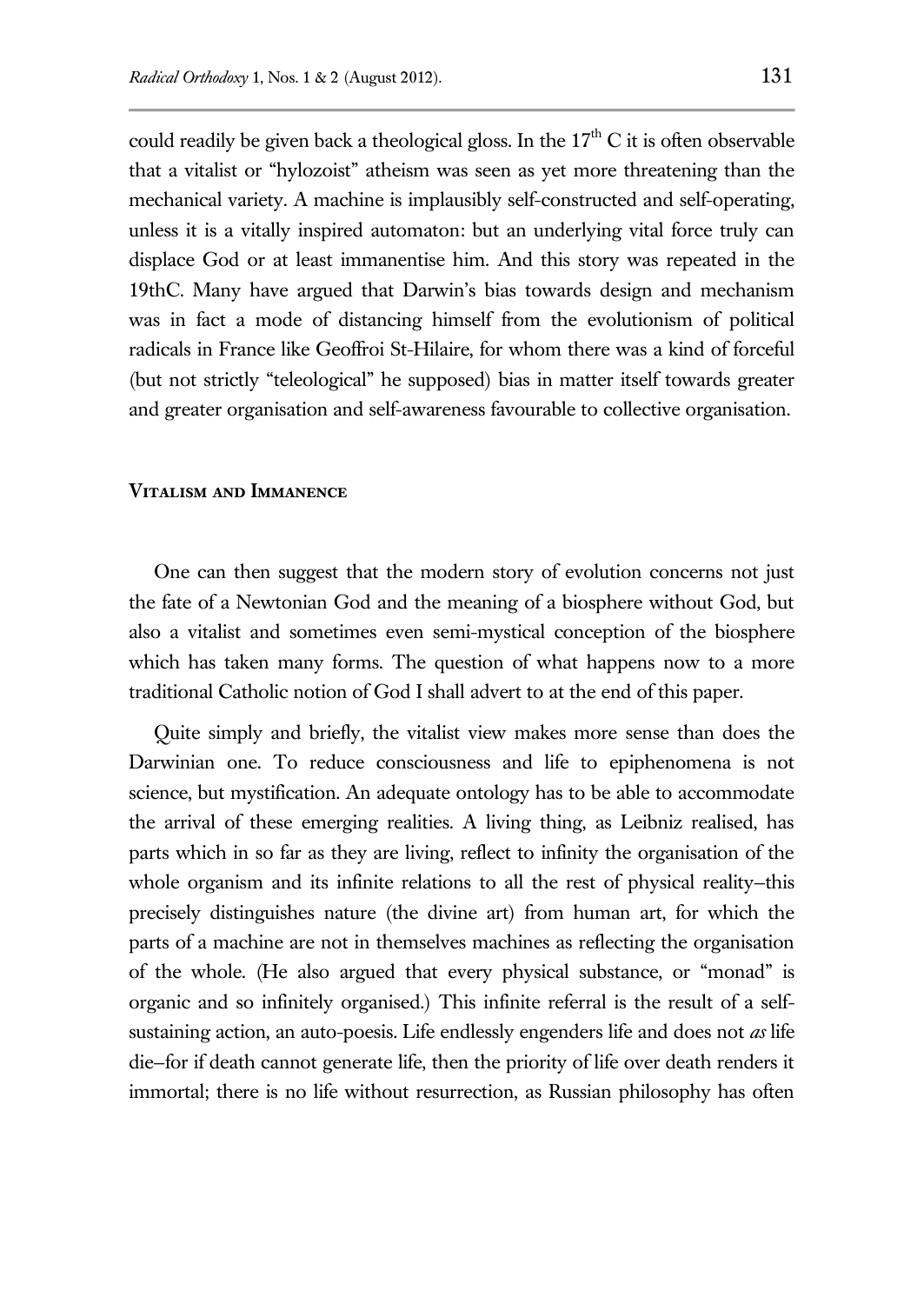could readily be given back a theological gloss. In the  $17<sup>th</sup>$  C it is often observable that a vitalist or "hylozoist" atheism was seen as yet more threatening than the mechanical variety. A machine is implausibly self-constructed and self-operating, unless it is a vitally inspired automaton: but an underlying vital force truly can displace God or at least immanentise him. And this story was repeated in the 19thC. Many have argued that Darwin's bias towards design and mechanism was in fact a mode of distancing himself from the evolutionism of political radicals in France like Geoffroi St-Hilaire, for whom there was a kind of forceful (but not strictly "teleological" he supposed) bias in matter itself towards greater and greater organisation and self-awareness favourable to collective organisation.

#### **Vitalism and Immanence**

One can then suggest that the modern story of evolution concerns not just the fate of a Newtonian God and the meaning of a biosphere without God, but also a vitalist and sometimes even semi-mystical conception of the biosphere which has taken many forms. The question of what happens now to a more traditional Catholic notion of God I shall advert to at the end of this paper.

Quite simply and briefly, the vitalist view makes more sense than does the Darwinian one. To reduce consciousness and life to epiphenomena is not science, but mystification. An adequate ontology has to be able to accommodate the arrival of these emerging realities. A living thing, as Leibniz realised, has parts which in so far as they are living, reflect to infinity the organisation of the whole organism and its infinite relations to all the rest of physical reality-this precisely distinguishes nature (the divine art) from human art, for which the parts of a machine are not in themselves machines as reflecting the organisation of the whole. (He also argued that every physical substance, or "monad" is organic and so infinitely organised.) This infinite referral is the result of a selfsustaining action, an auto-poesis. Life endlessly engenders life and does not *as* life die—for if death cannot generate life, then the priority of life over death renders it immortal; there is no life without resurrection, as Russian philosophy has often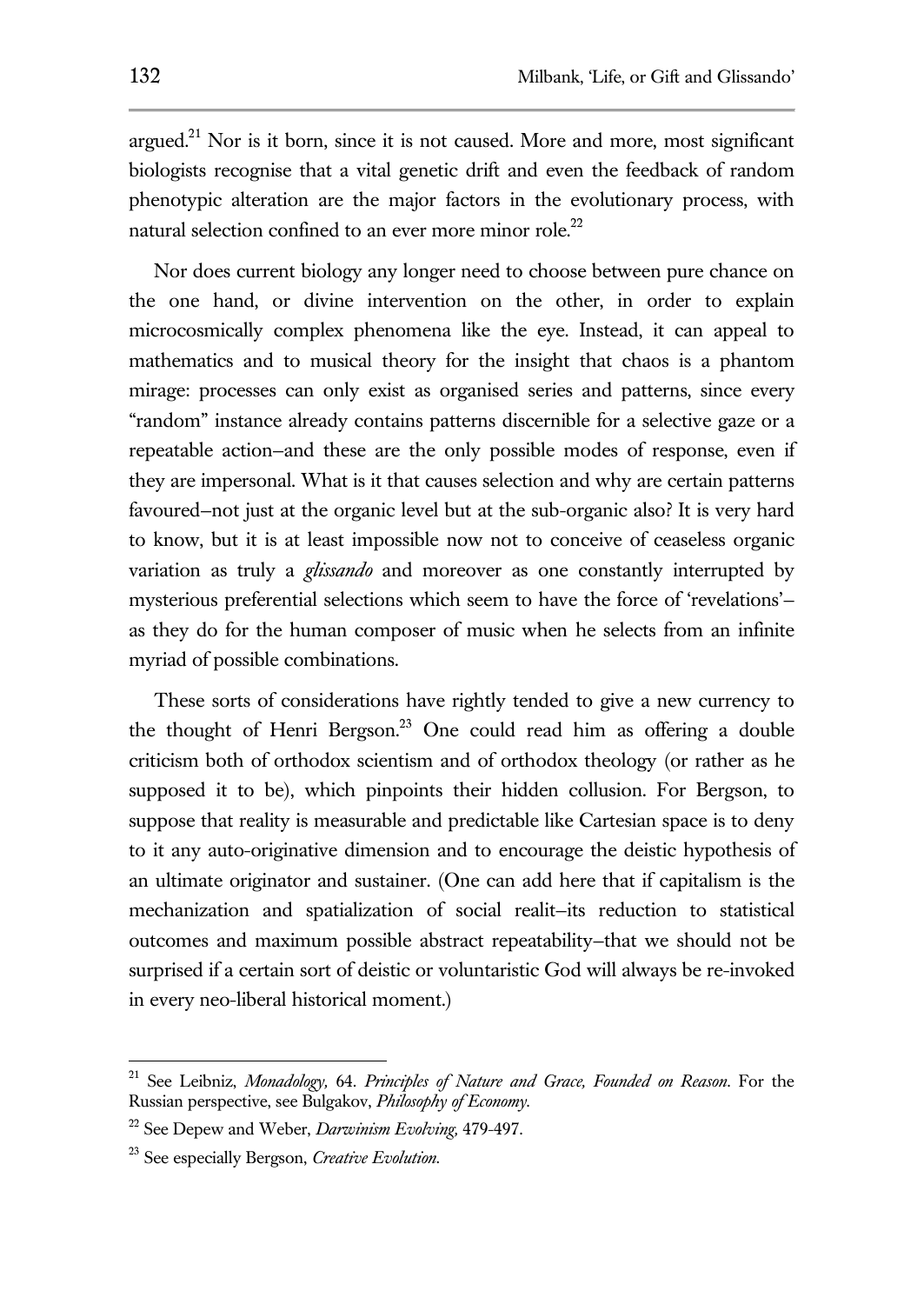argued.<sup>21</sup> Nor is it born, since it is not caused. More and more, most significant biologists recognise that a vital genetic drift and even the feedback of random phenotypic alteration are the major factors in the evolutionary process, with natural selection confined to an ever more minor role.<sup>22</sup>

Nor does current biology any longer need to choose between pure chance on the one hand, or divine intervention on the other, in order to explain microcosmically complex phenomena like the eye. Instead, it can appeal to mathematics and to musical theory for the insight that chaos is a phantom mirage: processes can only exist as organised series and patterns, since every "random" instance already contains patterns discernible for a selective gaze or a repeatable action—and these are the only possible modes of response, even if they are impersonal. What is it that causes selection and why are certain patterns favoured—not just at the organic level but at the sub-organic also? It is very hard to know, but it is at least impossible now not to conceive of ceaseless organic variation as truly a *glissando* and moreover as one constantly interrupted by mysterious preferential selections which seem to have the force of 'revelations' as they do for the human composer of music when he selects from an infinite myriad of possible combinations.

These sorts of considerations have rightly tended to give a new currency to the thought of Henri Bergson.<sup>23</sup> One could read him as offering a double criticism both of orthodox scientism and of orthodox theology (or rather as he supposed it to be), which pinpoints their hidden collusion. For Bergson, to suppose that reality is measurable and predictable like Cartesian space is to deny to it any auto-originative dimension and to encourage the deistic hypothesis of an ultimate originator and sustainer. (One can add here that if capitalism is the mechanization and spatialization of social realit—its reduction to statistical outcomes and maximum possible abstract repeatability—that we should not be surprised if a certain sort of deistic or voluntaristic God will always be re-invoked in every neo-liberal historical moment.)

<sup>21</sup> See Leibniz, *Monadology,* 64. *Principles of Nature and Grace, Founded on Reason*. For the Russian perspective, see Bulgakov, *Philosophy of Economy.*

<sup>22</sup> See Depew and Weber, *Darwinism Evolving,* 479-497.

<sup>23</sup> See especially Bergson, *Creative Evolution.*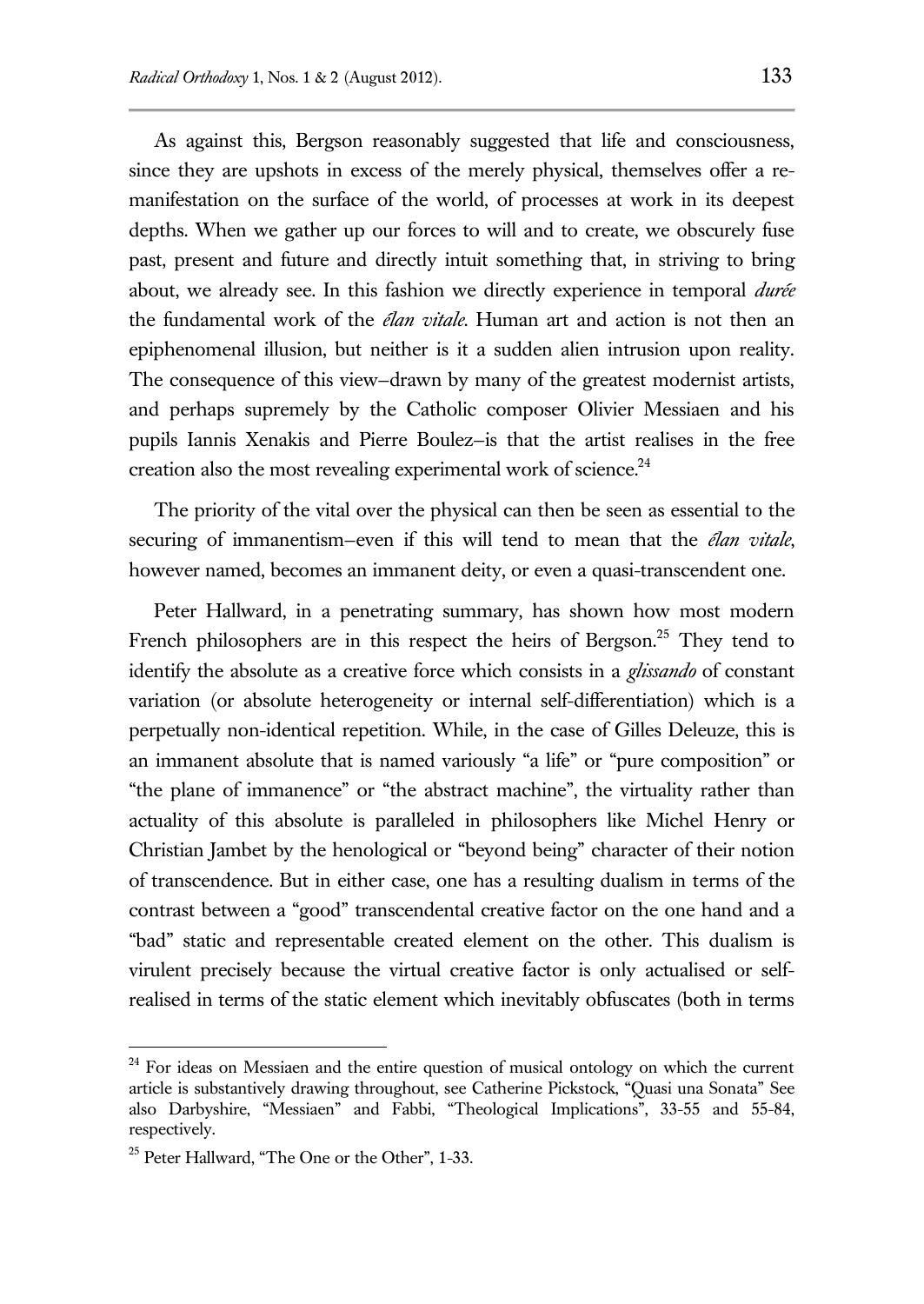As against this, Bergson reasonably suggested that life and consciousness, since they are upshots in excess of the merely physical, themselves offer a remanifestation on the surface of the world, of processes at work in its deepest depths. When we gather up our forces to will and to create, we obscurely fuse past, present and future and directly intuit something that, in striving to bring about, we already see. In this fashion we directly experience in temporal *durée* the fundamental work of the *élan vitale.* Human art and action is not then an epiphenomenal illusion, but neither is it a sudden alien intrusion upon reality. The consequence of this view—drawn by many of the greatest modernist artists, and perhaps supremely by the Catholic composer Olivier Messiaen and his pupils Iannis Xenakis and Pierre Boulez—is that the artist realises in the free creation also the most revealing experimental work of science.<sup>24</sup>

The priority of the vital over the physical can then be seen as essential to the securing of immanentism—even if this will tend to mean that the *élan vitale*, however named, becomes an immanent deity, or even a quasi-transcendent one.

Peter Hallward, in a penetrating summary, has shown how most modern French philosophers are in this respect the heirs of Bergson.<sup>25</sup> They tend to identify the absolute as a creative force which consists in a *glissando* of constant variation (or absolute heterogeneity or internal self-differentiation) which is a perpetually non-identical repetition. While, in the case of Gilles Deleuze, this is an immanent absolute that is named variously "a life" or "pure composition" or "the plane of immanence" or "the abstract machine", the virtuality rather than actuality of this absolute is paralleled in philosophers like Michel Henry or Christian Jambet by the henological or "beyond being" character of their notion of transcendence. But in either case, one has a resulting dualism in terms of the contrast between a "good" transcendental creative factor on the one hand and a "bad" static and representable created element on the other. This dualism is virulent precisely because the virtual creative factor is only actualised or selfrealised in terms of the static element which inevitably obfuscates (both in terms

<sup>&</sup>lt;sup>24</sup> For ideas on Messiaen and the entire question of musical ontology on which the current article is substantively drawing throughout, see Catherine Pickstock, "Quasi una Sonata" See also Darbyshire, "Messiaen" and Fabbi, "Theological Implications", 33-55 and 55-84, respectively.

<sup>&</sup>lt;sup>25</sup> Peter Hallward, "The One or the Other", 1-33.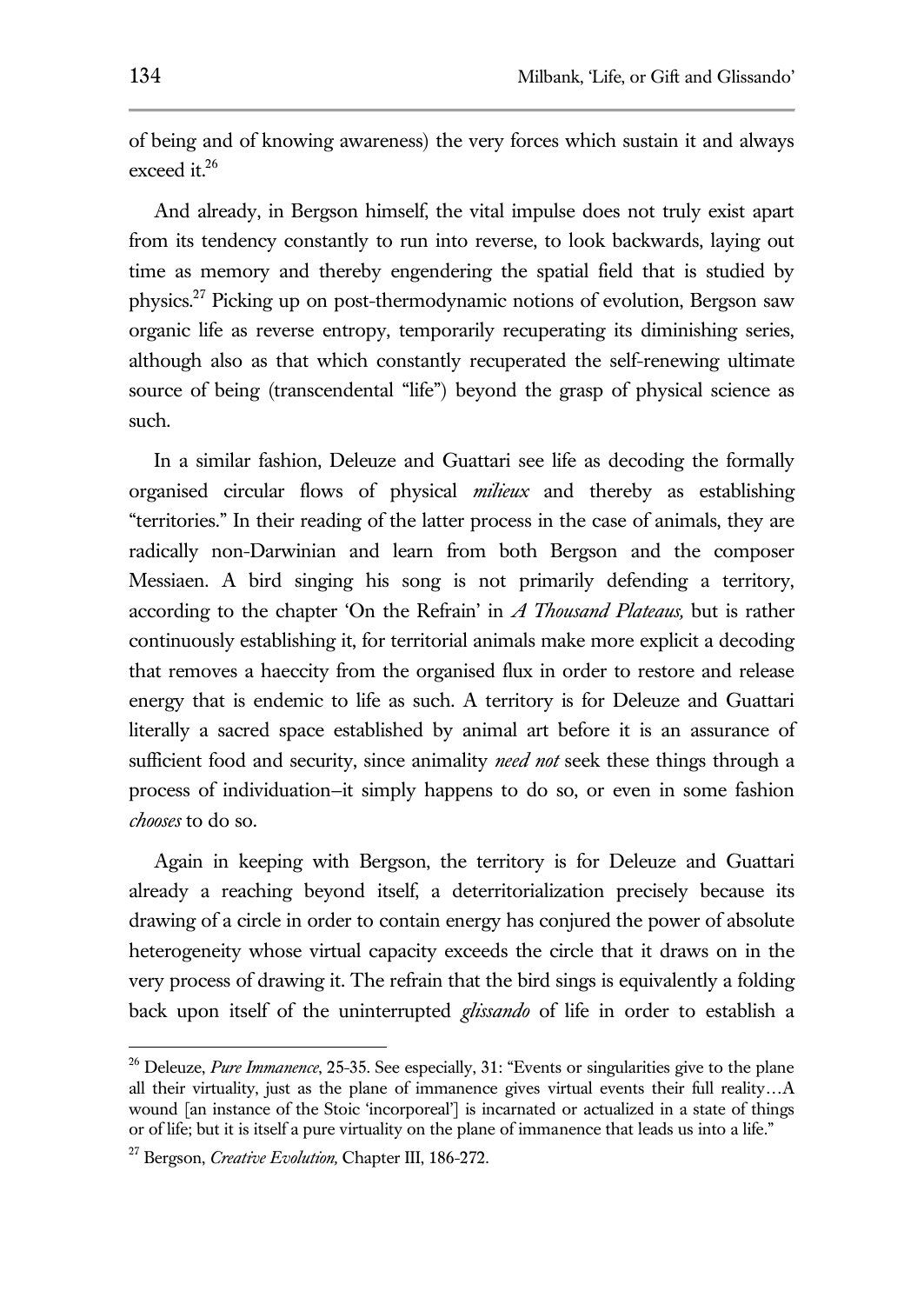of being and of knowing awareness) the very forces which sustain it and always exceed it.<sup>26</sup>

And already, in Bergson himself, the vital impulse does not truly exist apart from its tendency constantly to run into reverse, to look backwards, laying out time as memory and thereby engendering the spatial field that is studied by physics.<sup>27</sup> Picking up on post-thermodynamic notions of evolution, Bergson saw organic life as reverse entropy, temporarily recuperating its diminishing series, although also as that which constantly recuperated the self-renewing ultimate source of being (transcendental "life") beyond the grasp of physical science as such.

In a similar fashion, Deleuze and Guattari see life as decoding the formally organised circular flows of physical *milieux* and thereby as establishing "territories." In their reading of the latter process in the case of animals, they are radically non-Darwinian and learn from both Bergson and the composer Messiaen. A bird singing his song is not primarily defending a territory, according to the chapter 'On the Refrain' in *A Thousand Plateaus,* but is rather continuously establishing it, for territorial animals make more explicit a decoding that removes a haeccity from the organised flux in order to restore and release energy that is endemic to life as such. A territory is for Deleuze and Guattari literally a sacred space established by animal art before it is an assurance of sufficient food and security, since animality *need not* seek these things through a process of individuation—it simply happens to do so, or even in some fashion *chooses* to do so.

Again in keeping with Bergson, the territory is for Deleuze and Guattari already a reaching beyond itself, a deterritorialization precisely because its drawing of a circle in order to contain energy has conjured the power of absolute heterogeneity whose virtual capacity exceeds the circle that it draws on in the very process of drawing it. The refrain that the bird sings is equivalently a folding back upon itself of the uninterrupted *glissando* of life in order to establish a

<sup>26</sup> Deleuze, *Pure Immanence*, 25-35. See especially, 31: "Events or singularities give to the plane all their virtuality, just as the plane of immanence gives virtual events their full reality…A wound [an instance of the Stoic 'incorporeal'] is incarnated or actualized in a state of things or of life; but it is itself a pure virtuality on the plane of immanence that leads us into a life."

<sup>27</sup> Bergson, *Creative Evolution,* Chapter III, 186-272.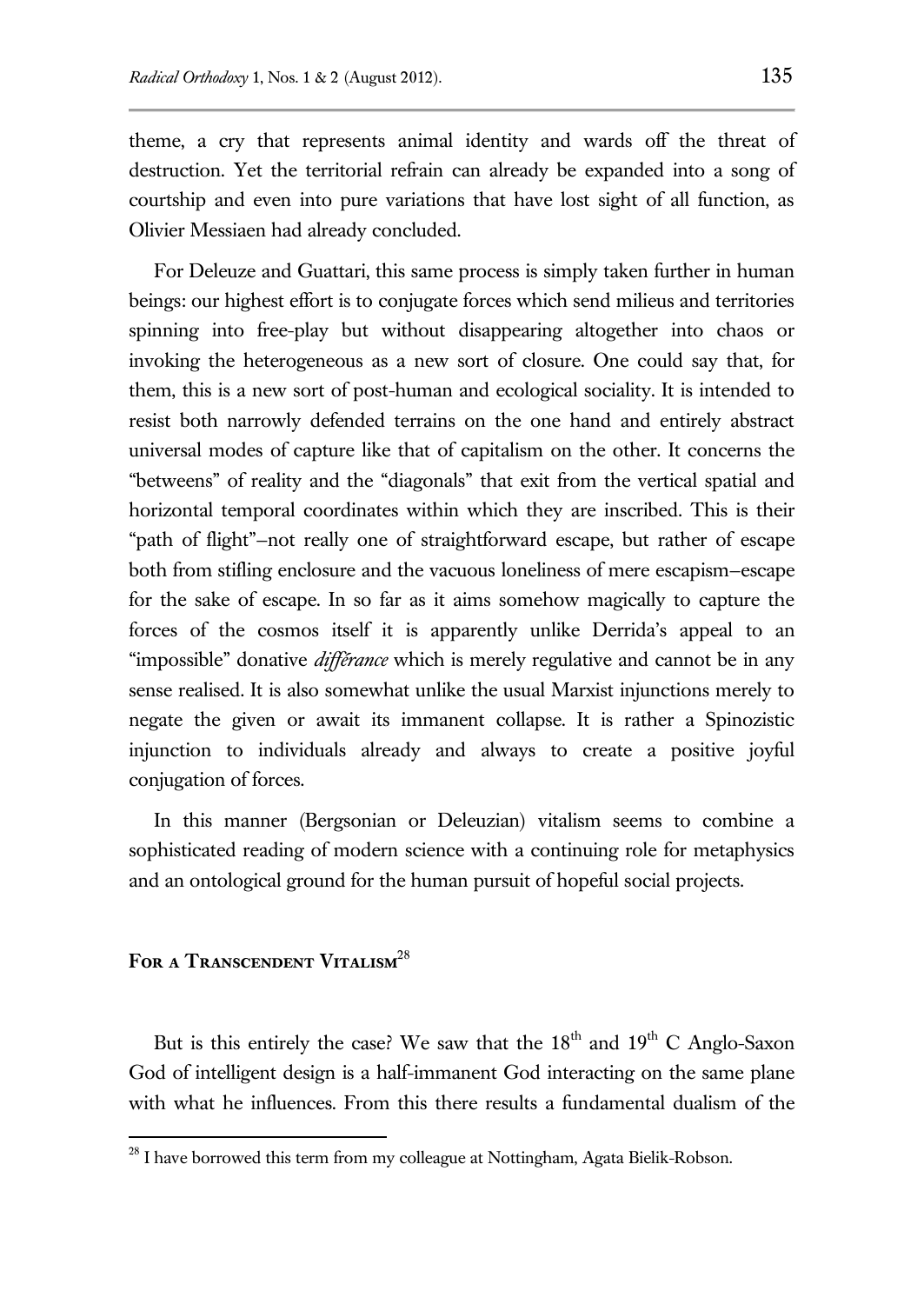theme, a cry that represents animal identity and wards off the threat of destruction. Yet the territorial refrain can already be expanded into a song of courtship and even into pure variations that have lost sight of all function, as Olivier Messiaen had already concluded.

For Deleuze and Guattari, this same process is simply taken further in human beings: our highest effort is to conjugate forces which send milieus and territories spinning into free-play but without disappearing altogether into chaos or invoking the heterogeneous as a new sort of closure. One could say that, for them, this is a new sort of post-human and ecological sociality. It is intended to resist both narrowly defended terrains on the one hand and entirely abstract universal modes of capture like that of capitalism on the other. It concerns the "betweens" of reality and the "diagonals" that exit from the vertical spatial and horizontal temporal coordinates within which they are inscribed. This is their "path of flight"—not really one of straightforward escape, but rather of escape both from stifling enclosure and the vacuous loneliness of mere escapism—escape for the sake of escape. In so far as it aims somehow magically to capture the forces of the cosmos itself it is apparently unlike Derrida's appeal to an "impossible" donative *différance* which is merely regulative and cannot be in any sense realised. It is also somewhat unlike the usual Marxist injunctions merely to negate the given or await its immanent collapse. It is rather a Spinozistic injunction to individuals already and always to create a positive joyful conjugation of forces.

In this manner (Bergsonian or Deleuzian) vitalism seems to combine a sophisticated reading of modern science with a continuing role for metaphysics and an ontological ground for the human pursuit of hopeful social projects.

### **For a Transcendent Vitalism**<sup>28</sup>

 $\overline{a}$ 

But is this entirely the case? We saw that the  $18<sup>th</sup>$  and  $19<sup>th</sup>$  C Anglo-Saxon God of intelligent design is a half-immanent God interacting on the same plane with what he influences. From this there results a fundamental dualism of the

 $^{28}$  I have borrowed this term from my colleague at Nottingham, Agata Bielik-Robson.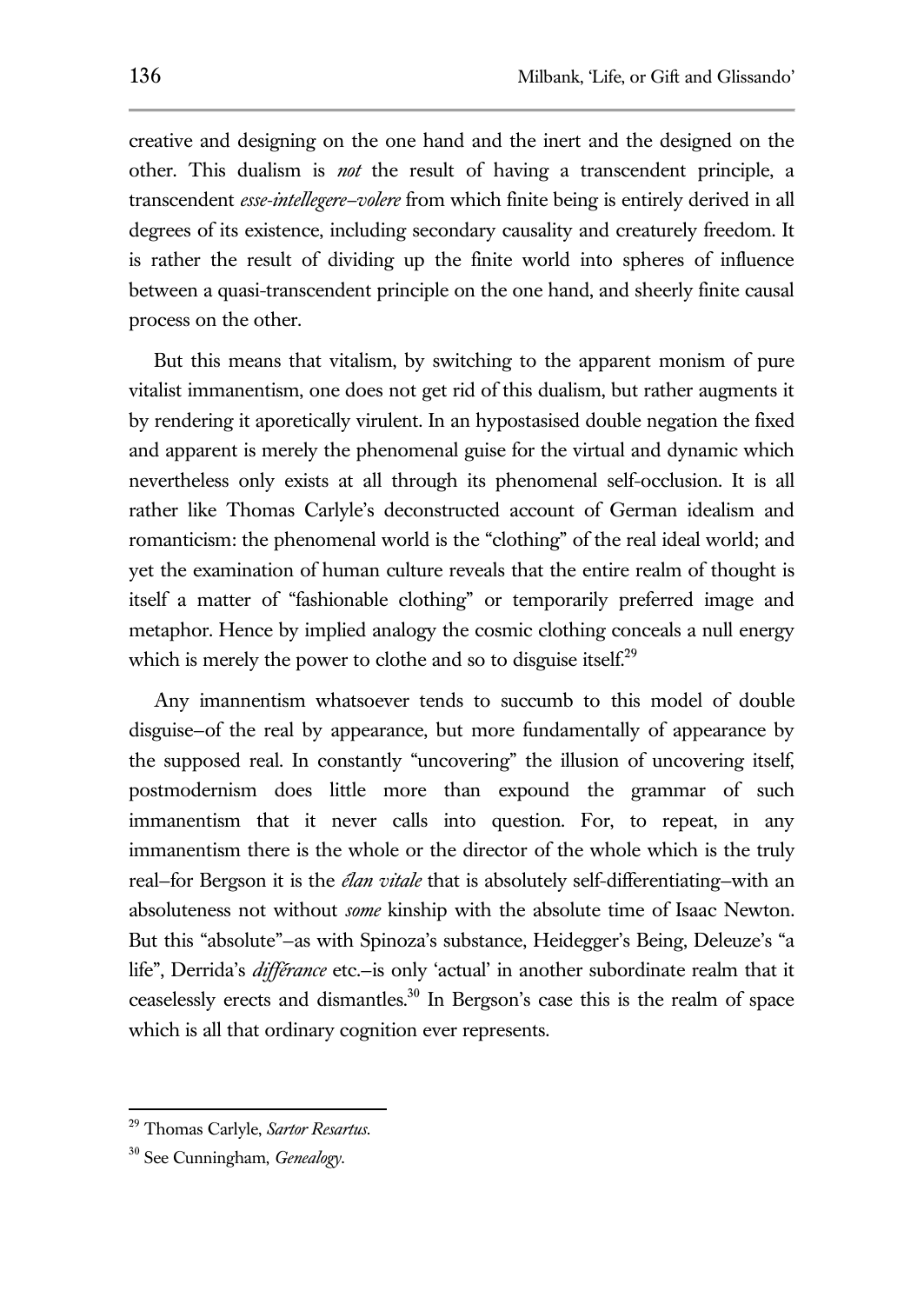creative and designing on the one hand and the inert and the designed on the other. This dualism is *not* the result of having a transcendent principle, a transcendent *esse-intellegere—volere* from which finite being is entirely derived in all degrees of its existence, including secondary causality and creaturely freedom. It is rather the result of dividing up the finite world into spheres of influence between a quasi-transcendent principle on the one hand, and sheerly finite causal process on the other.

But this means that vitalism, by switching to the apparent monism of pure vitalist immanentism, one does not get rid of this dualism, but rather augments it by rendering it aporetically virulent. In an hypostasised double negation the fixed and apparent is merely the phenomenal guise for the virtual and dynamic which nevertheless only exists at all through its phenomenal self-occlusion. It is all rather like Thomas Carlyle's deconstructed account of German idealism and romanticism: the phenomenal world is the "clothing" of the real ideal world; and yet the examination of human culture reveals that the entire realm of thought is itself a matter of "fashionable clothing" or temporarily preferred image and metaphor. Hence by implied analogy the cosmic clothing conceals a null energy which is merely the power to clothe and so to disguise itself.<sup>29</sup>

Any imannentism whatsoever tends to succumb to this model of double disguise—of the real by appearance, but more fundamentally of appearance by the supposed real. In constantly "uncovering" the illusion of uncovering itself, postmodernism does little more than expound the grammar of such immanentism that it never calls into question. For, to repeat, in any immanentism there is the whole or the director of the whole which is the truly real—for Bergson it is the *élan vitale* that is absolutely self-differentiating—with an absoluteness not without *some* kinship with the absolute time of Isaac Newton. But this "absolute"—as with Spinoza's substance, Heidegger's Being, Deleuze's "a life", Derrida's *différance* etc.—is only 'actual' in another subordinate realm that it ceaselessly erects and dismantles.<sup>30</sup> In Bergson's case this is the realm of space which is all that ordinary cognition ever represents.

<sup>29</sup> Thomas Carlyle, *Sartor Resartus.*

<sup>30</sup> See Cunningham, *Genealogy.*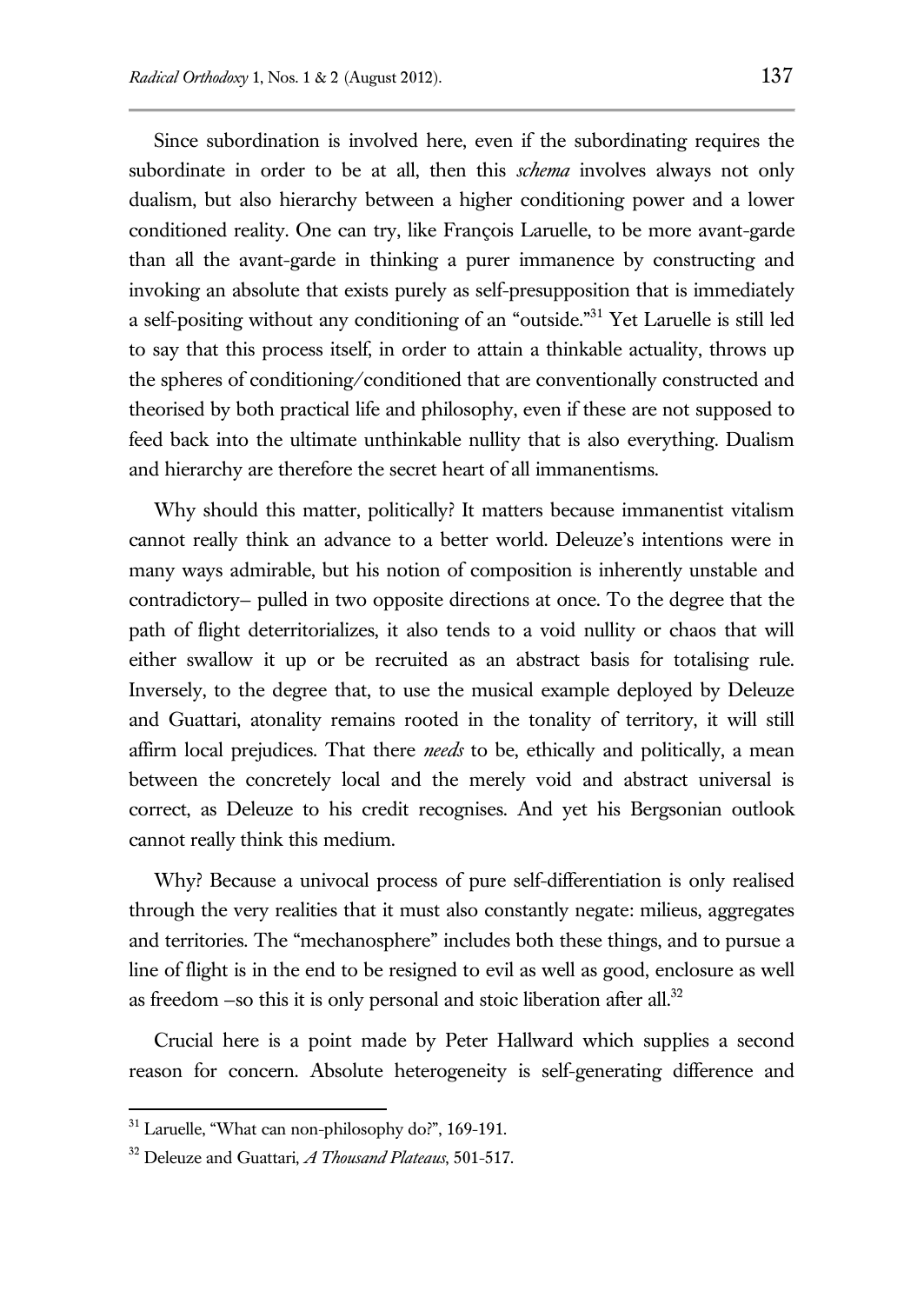Since subordination is involved here, even if the subordinating requires the subordinate in order to be at all, then this *schema* involves always not only dualism, but also hierarchy between a higher conditioning power and a lower conditioned reality. One can try, like François Laruelle, to be more avant-garde than all the avant-garde in thinking a purer immanence by constructing and invoking an absolute that exists purely as self-presupposition that is immediately a self-positing without any conditioning of an "outside."<sup>31</sup> Yet Laruelle is still led to say that this process itself, in order to attain a thinkable actuality, throws up the spheres of conditioning/conditioned that are conventionally constructed and theorised by both practical life and philosophy, even if these are not supposed to feed back into the ultimate unthinkable nullity that is also everything. Dualism and hierarchy are therefore the secret heart of all immanentisms.

Why should this matter, politically? It matters because immanentist vitalism cannot really think an advance to a better world. Deleuze's intentions were in many ways admirable, but his notion of composition is inherently unstable and contradictory— pulled in two opposite directions at once. To the degree that the path of flight deterritorializes, it also tends to a void nullity or chaos that will either swallow it up or be recruited as an abstract basis for totalising rule. Inversely, to the degree that, to use the musical example deployed by Deleuze and Guattari, atonality remains rooted in the tonality of territory, it will still affirm local prejudices. That there *needs* to be, ethically and politically, a mean between the concretely local and the merely void and abstract universal is correct, as Deleuze to his credit recognises. And yet his Bergsonian outlook cannot really think this medium.

Why? Because a univocal process of pure self-differentiation is only realised through the very realities that it must also constantly negate: milieus, aggregates and territories. The "mechanosphere" includes both these things, and to pursue a line of flight is in the end to be resigned to evil as well as good, enclosure as well as freedom  $-$ so this it is only personal and stoic liberation after all.<sup>32</sup>

Crucial here is a point made by Peter Hallward which supplies a second reason for concern. Absolute heterogeneity is self-generating difference and

 $31$  Laruelle, "What can non-philosophy do?", 169-191.

<sup>32</sup> Deleuze and Guattari, *A Thousand Plateaus*, 501-517.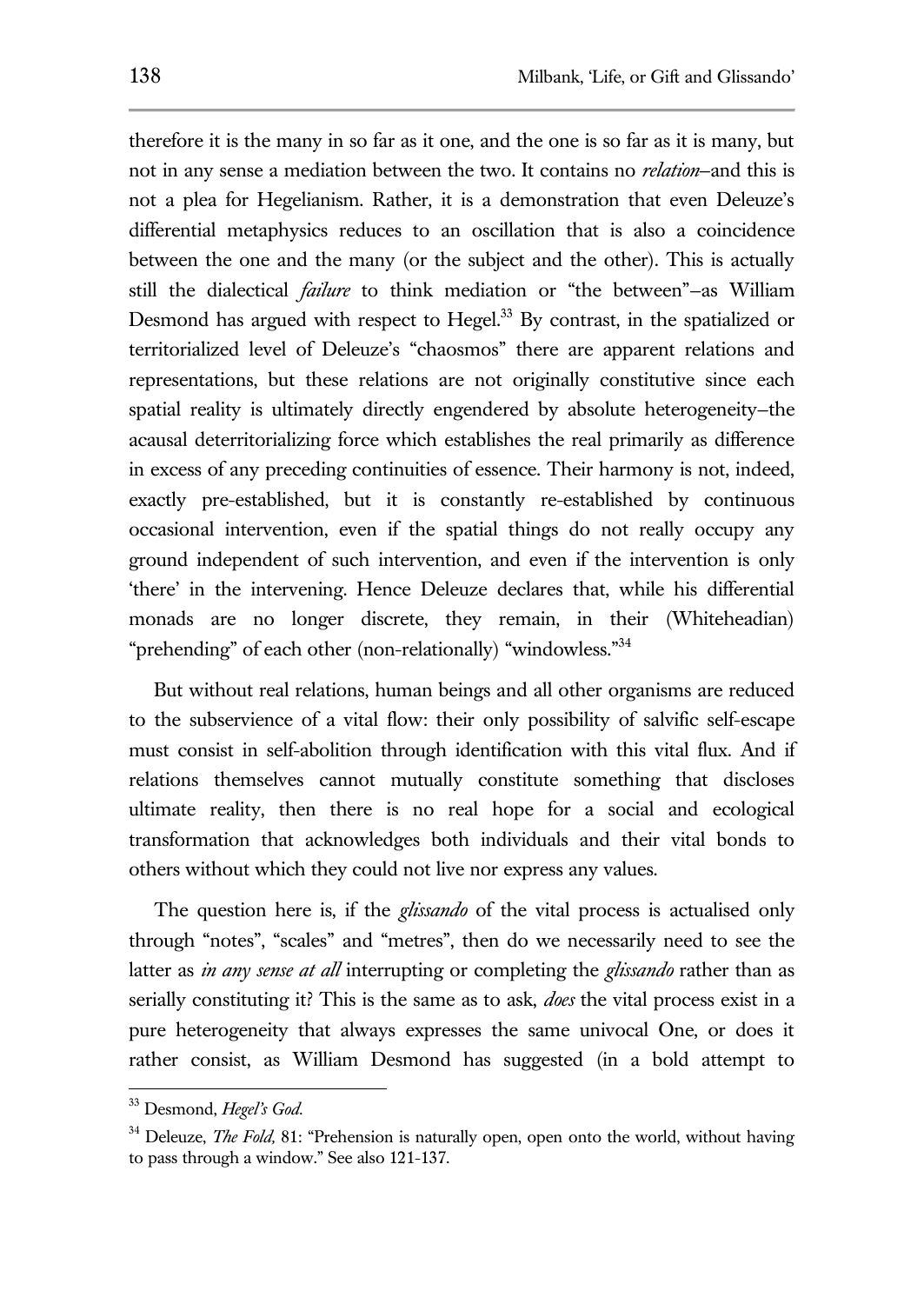therefore it is the many in so far as it one, and the one is so far as it is many, but not in any sense a mediation between the two. It contains no *relation*—and this is not a plea for Hegelianism. Rather, it is a demonstration that even Deleuze's differential metaphysics reduces to an oscillation that is also a coincidence between the one and the many (or the subject and the other). This is actually still the dialectical *failure* to think mediation or "the between"—as William Desmond has argued with respect to Hegel. $33$  By contrast, in the spatialized or territorialized level of Deleuze's "chaosmos" there are apparent relations and representations, but these relations are not originally constitutive since each spatial reality is ultimately directly engendered by absolute heterogeneity—the acausal deterritorializing force which establishes the real primarily as difference in excess of any preceding continuities of essence. Their harmony is not, indeed, exactly pre-established, but it is constantly re-established by continuous occasional intervention, even if the spatial things do not really occupy any ground independent of such intervention, and even if the intervention is only 'there' in the intervening. Hence Deleuze declares that, while his differential monads are no longer discrete, they remain, in their (Whiteheadian) "prehending" of each other (non-relationally) "windowless."<sup>34</sup>

But without real relations, human beings and all other organisms are reduced to the subservience of a vital flow: their only possibility of salvific self-escape must consist in self-abolition through identification with this vital flux. And if relations themselves cannot mutually constitute something that discloses ultimate reality, then there is no real hope for a social and ecological transformation that acknowledges both individuals and their vital bonds to others without which they could not live nor express any values.

The question here is, if the *glissando* of the vital process is actualised only through "notes", "scales" and "metres", then do we necessarily need to see the latter as *in any sense at all* interrupting or completing the *glissando* rather than as serially constituting it? This is the same as to ask, *does* the vital process exist in a pure heterogeneity that always expresses the same univocal One, or does it rather consist, as William Desmond has suggested (in a bold attempt to

<sup>33</sup> Desmond, *Hegel's God.*

<sup>&</sup>lt;sup>34</sup> Deleuze, *The Fold*, 81: "Prehension is naturally open, open onto the world, without having to pass through a window." See also 121-137.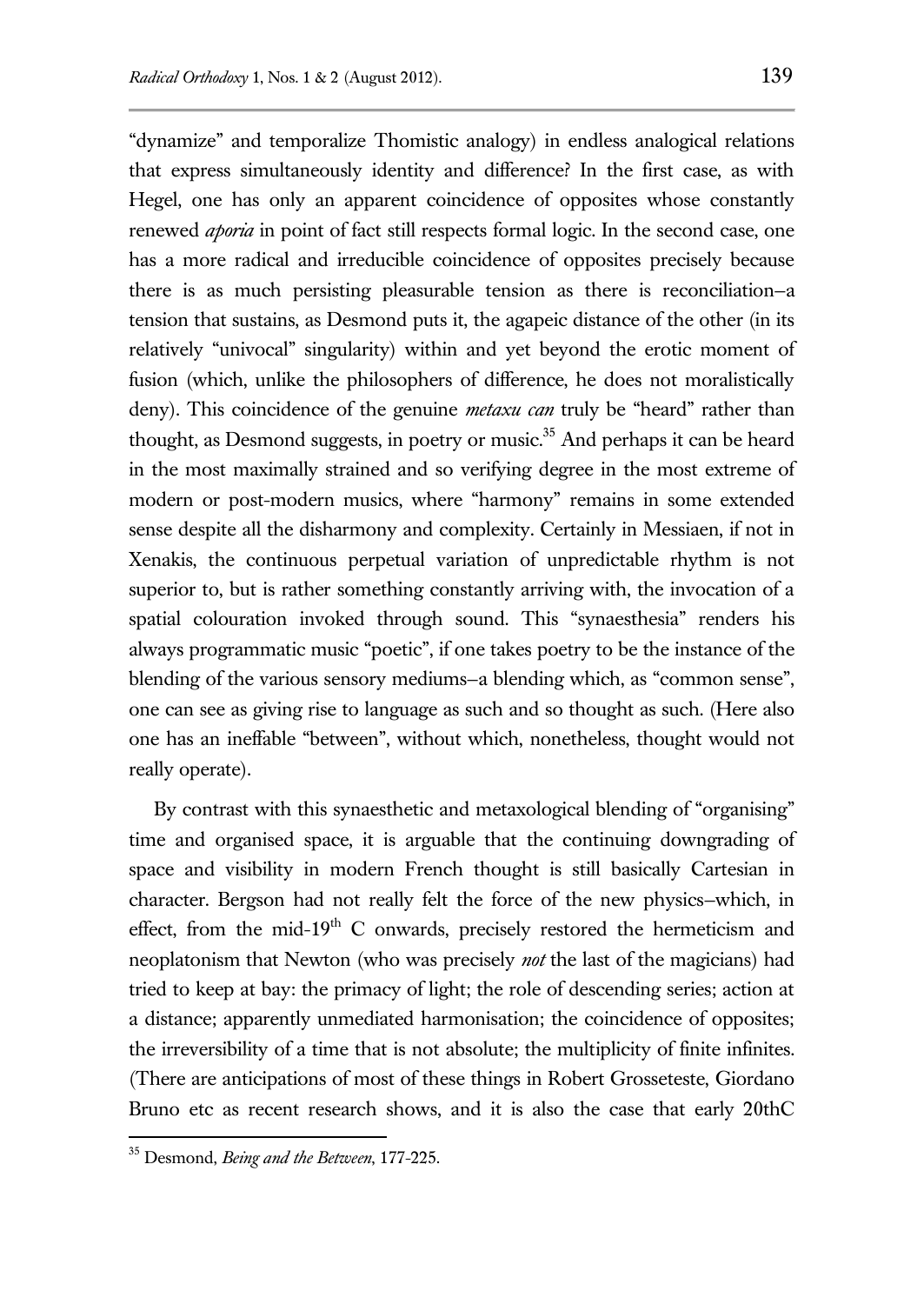"dynamize" and temporalize Thomistic analogy) in endless analogical relations that express simultaneously identity and difference? In the first case, as with Hegel, one has only an apparent coincidence of opposites whose constantly renewed *aporia* in point of fact still respects formal logic. In the second case, one has a more radical and irreducible coincidence of opposites precisely because there is as much persisting pleasurable tension as there is reconciliation—a tension that sustains, as Desmond puts it, the agapeic distance of the other (in its relatively "univocal" singularity) within and yet beyond the erotic moment of fusion (which, unlike the philosophers of difference, he does not moralistically deny). This coincidence of the genuine *metaxu can* truly be "heard" rather than thought, as Desmond suggests, in poetry or music.<sup>35</sup> And perhaps it can be heard in the most maximally strained and so verifying degree in the most extreme of modern or post-modern musics, where "harmony" remains in some extended sense despite all the disharmony and complexity. Certainly in Messiaen, if not in Xenakis, the continuous perpetual variation of unpredictable rhythm is not superior to, but is rather something constantly arriving with, the invocation of a spatial colouration invoked through sound. This "synaesthesia" renders his always programmatic music "poetic", if one takes poetry to be the instance of the blending of the various sensory mediums—a blending which, as "common sense", one can see as giving rise to language as such and so thought as such. (Here also one has an ineffable "between", without which, nonetheless, thought would not really operate).

By contrast with this synaesthetic and metaxological blending of "organising" time and organised space, it is arguable that the continuing downgrading of space and visibility in modern French thought is still basically Cartesian in character. Bergson had not really felt the force of the new physics—which, in effect, from the mid- $19<sup>th</sup>$  C onwards, precisely restored the hermeticism and neoplatonism that Newton (who was precisely *not* the last of the magicians) had tried to keep at bay: the primacy of light; the role of descending series; action at a distance; apparently unmediated harmonisation; the coincidence of opposites; the irreversibility of a time that is not absolute; the multiplicity of finite infinites. (There are anticipations of most of these things in Robert Grosseteste, Giordano Bruno etc as recent research shows, and it is also the case that early 20thC

<sup>35</sup> Desmond, *Being and the Between*, 177-225.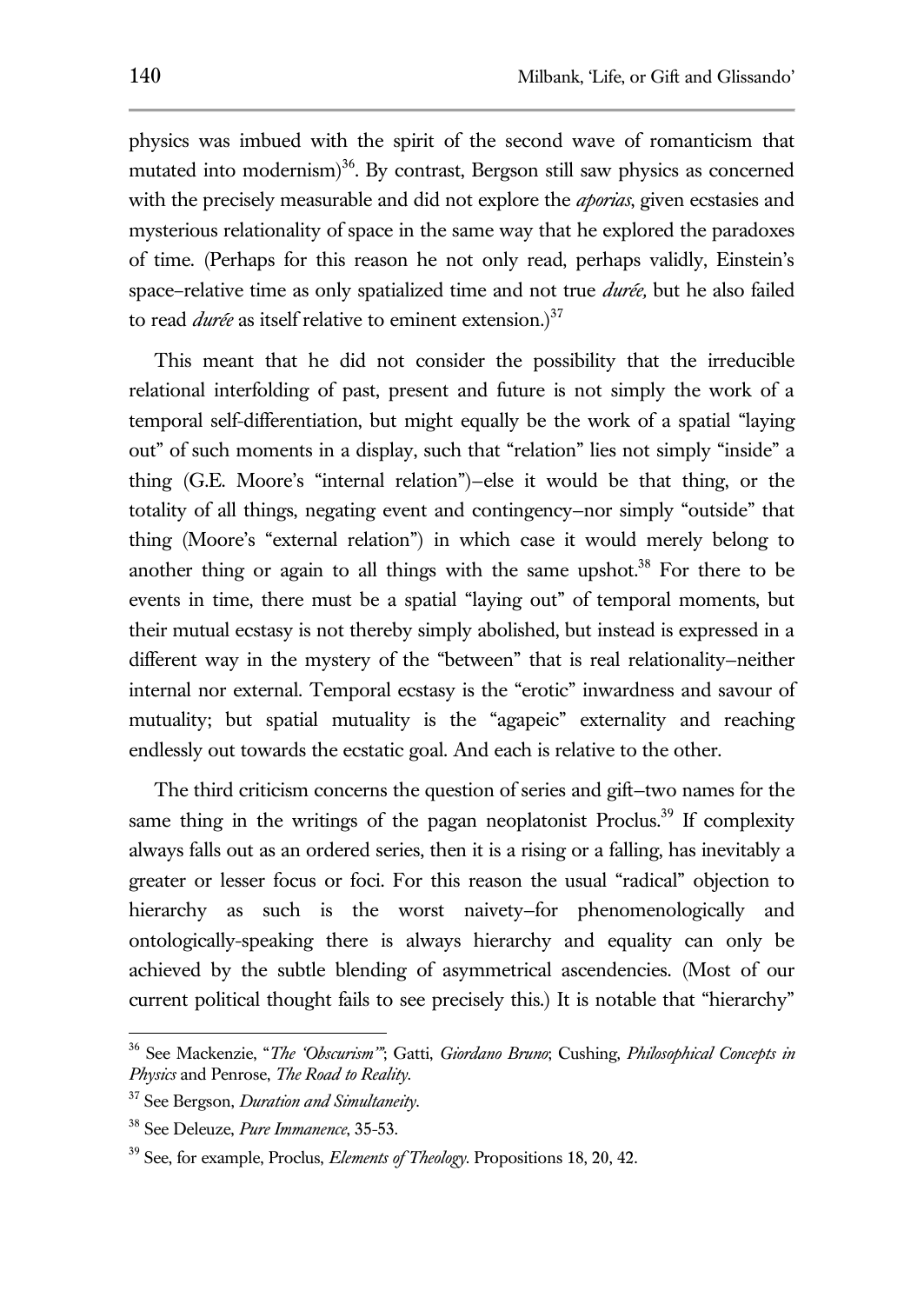physics was imbued with the spirit of the second wave of romanticism that mutated into modernism)<sup>36</sup>. By contrast, Bergson still saw physics as concerned with the precisely measurable and did not explore the *aporias*, given ecstasies and mysterious relationality of space in the same way that he explored the paradoxes of time. (Perhaps for this reason he not only read, perhaps validly, Einstein's space–relative time as only spatialized time and not true *durée,* but he also failed to read *durée* as itself relative to eminent extension.) 37

This meant that he did not consider the possibility that the irreducible relational interfolding of past, present and future is not simply the work of a temporal self-differentiation, but might equally be the work of a spatial "laying out" of such moments in a display, such that "relation" lies not simply "inside" a thing (G.E. Moore's "internal relation")—else it would be that thing, or the totality of all things, negating event and contingency—nor simply "outside" that thing (Moore's "external relation") in which case it would merely belong to another thing or again to all things with the same upshot. $38$  For there to be events in time, there must be a spatial "laying out" of temporal moments, but their mutual ecstasy is not thereby simply abolished, but instead is expressed in a different way in the mystery of the "between" that is real relationality—neither internal nor external. Temporal ecstasy is the "erotic" inwardness and savour of mutuality; but spatial mutuality is the "agapeic" externality and reaching endlessly out towards the ecstatic goal. And each is relative to the other.

The third criticism concerns the question of series and gift—two names for the same thing in the writings of the pagan neoplatonist Proclus.<sup>39</sup> If complexity always falls out as an ordered series, then it is a rising or a falling, has inevitably a greater or lesser focus or foci. For this reason the usual "radical" objection to hierarchy as such is the worst naivety–for phenomenologically and ontologically-speaking there is always hierarchy and equality can only be achieved by the subtle blending of asymmetrical ascendencies. (Most of our current political thought fails to see precisely this.) It is notable that "hierarchy"

<sup>36</sup> See Mackenzie, "*The 'Obscurism'"*; Gatti, *Giordano Bruno*; Cushing, *Philosophical Concepts in Physics* and Penrose, *The Road to Reality.* 

<sup>37</sup> See Bergson, *Duration and Simultaneity*.

<sup>38</sup> See Deleuze, *Pure Immanence*, 35-53.

<sup>39</sup> See, for example, Proclus, *Elements of Theology.* Propositions 18, 20, 42.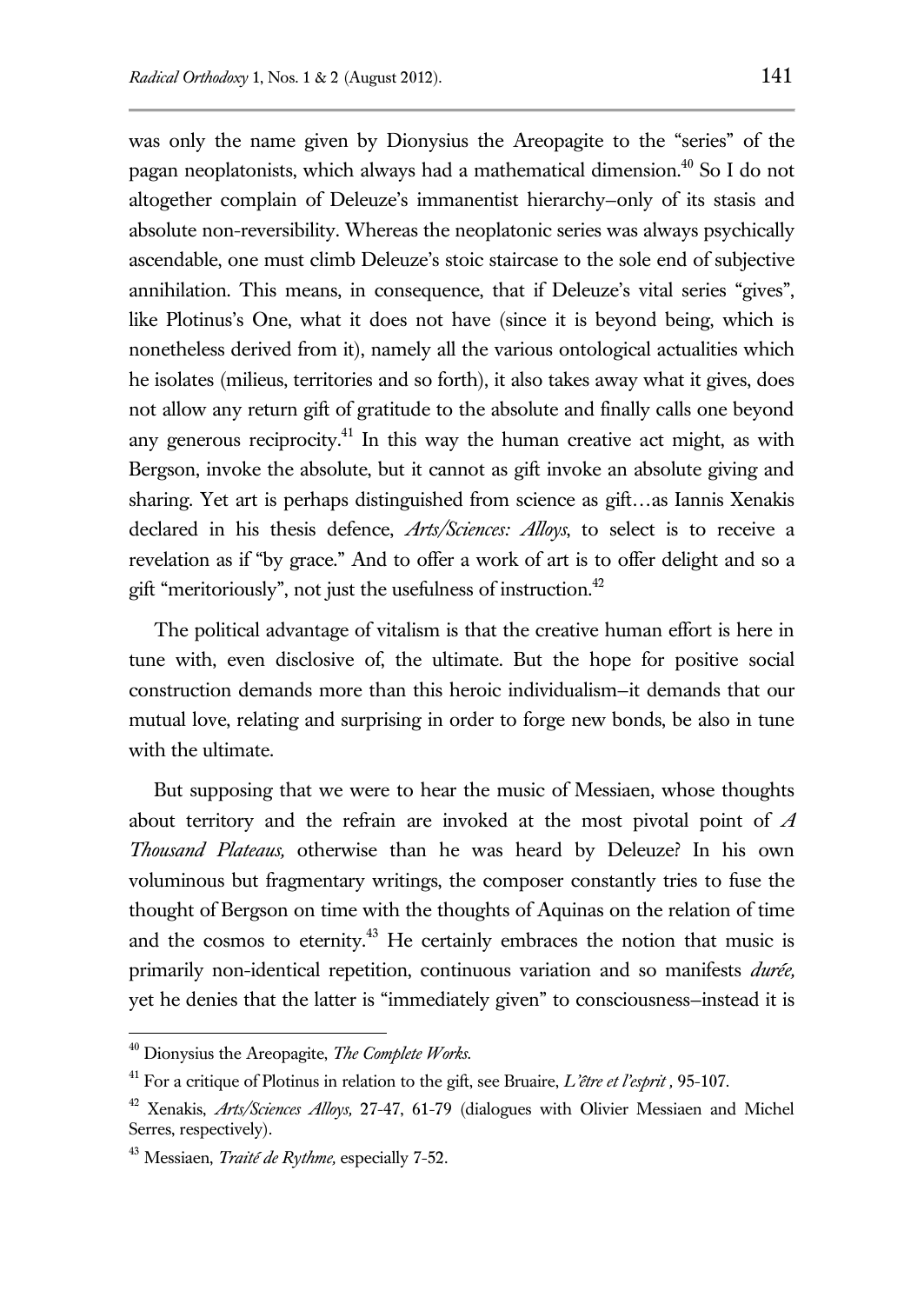was only the name given by Dionysius the Areopagite to the "series" of the pagan neoplatonists, which always had a mathematical dimension.<sup>40</sup> So I do not altogether complain of Deleuze's immanentist hierarchy—only of its stasis and absolute non-reversibility. Whereas the neoplatonic series was always psychically ascendable, one must climb Deleuze's stoic staircase to the sole end of subjective annihilation. This means, in consequence, that if Deleuze's vital series "gives", like Plotinus's One, what it does not have (since it is beyond being, which is nonetheless derived from it), namely all the various ontological actualities which he isolates (milieus, territories and so forth), it also takes away what it gives, does not allow any return gift of gratitude to the absolute and finally calls one beyond any generous reciprocity.<sup>41</sup> In this way the human creative act might, as with Bergson, invoke the absolute, but it cannot as gift invoke an absolute giving and sharing. Yet art is perhaps distinguished from science as gift…as Iannis Xenakis declared in his thesis defence, *Arts/Sciences: Alloys*, to select is to receive a revelation as if "by grace." And to offer a work of art is to offer delight and so a gift "meritoriously", not just the usefulness of instruction. $42$ 

The political advantage of vitalism is that the creative human effort is here in tune with, even disclosive of, the ultimate. But the hope for positive social construction demands more than this heroic individualism—it demands that our mutual love, relating and surprising in order to forge new bonds, be also in tune with the ultimate.

But supposing that we were to hear the music of Messiaen, whose thoughts about territory and the refrain are invoked at the most pivotal point of *A Thousand Plateaus,* otherwise than he was heard by Deleuze? In his own voluminous but fragmentary writings, the composer constantly tries to fuse the thought of Bergson on time with the thoughts of Aquinas on the relation of time and the cosmos to eternity.<sup>43</sup> He certainly embraces the notion that music is primarily non-identical repetition, continuous variation and so manifests *durée,* yet he denies that the latter is "immediately given" to consciousness—instead it is

<sup>40</sup> Dionysius the Areopagite, *The Complete Works*.

<sup>41</sup> For a critique of Plotinus in relation to the gift, see Bruaire, *L'être et l'esprit ,* 95-107.

<sup>42</sup> Xenakis, *Arts/Sciences Alloys,* 27-47, 61-79 (dialogues with Olivier Messiaen and Michel Serres, respectively).

<sup>43</sup> Messiaen, *Traité de Rythme,* especially 7-52.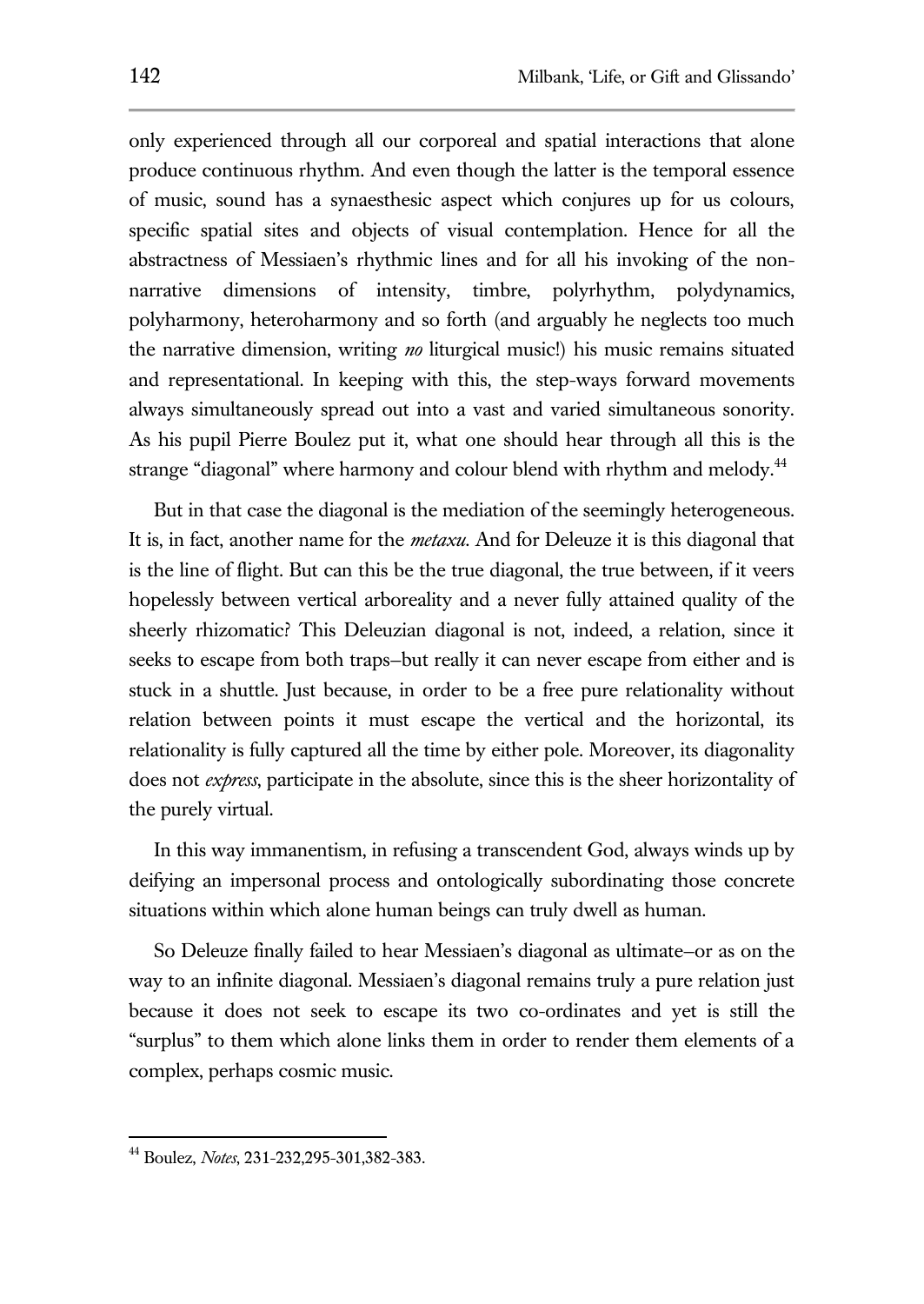only experienced through all our corporeal and spatial interactions that alone produce continuous rhythm. And even though the latter is the temporal essence of music, sound has a synaesthesic aspect which conjures up for us colours, specific spatial sites and objects of visual contemplation. Hence for all the abstractness of Messiaen's rhythmic lines and for all his invoking of the nonnarrative dimensions of intensity, timbre, polyrhythm, polydynamics, polyharmony, heteroharmony and so forth (and arguably he neglects too much the narrative dimension, writing *no* liturgical music!) his music remains situated and representational. In keeping with this, the step-ways forward movements always simultaneously spread out into a vast and varied simultaneous sonority. As his pupil Pierre Boulez put it, what one should hear through all this is the strange "diagonal" where harmony and colour blend with rhythm and melody.<sup>44</sup>

But in that case the diagonal is the mediation of the seemingly heterogeneous. It is, in fact, another name for the *metaxu.* And for Deleuze it is this diagonal that is the line of flight. But can this be the true diagonal, the true between, if it veers hopelessly between vertical arboreality and a never fully attained quality of the sheerly rhizomatic? This Deleuzian diagonal is not, indeed, a relation, since it seeks to escape from both traps—but really it can never escape from either and is stuck in a shuttle. Just because, in order to be a free pure relationality without relation between points it must escape the vertical and the horizontal, its relationality is fully captured all the time by either pole. Moreover, its diagonality does not *express*, participate in the absolute, since this is the sheer horizontality of the purely virtual.

In this way immanentism, in refusing a transcendent God, always winds up by deifying an impersonal process and ontologically subordinating those concrete situations within which alone human beings can truly dwell as human.

So Deleuze finally failed to hear Messiaen's diagonal as ultimate—or as on the way to an infinite diagonal. Messiaen's diagonal remains truly a pure relation just because it does not seek to escape its two co-ordinates and yet is still the "surplus" to them which alone links them in order to render them elements of a complex, perhaps cosmic music.

<sup>44</sup> Boulez, *Notes*, 231-232,295-301,382-383.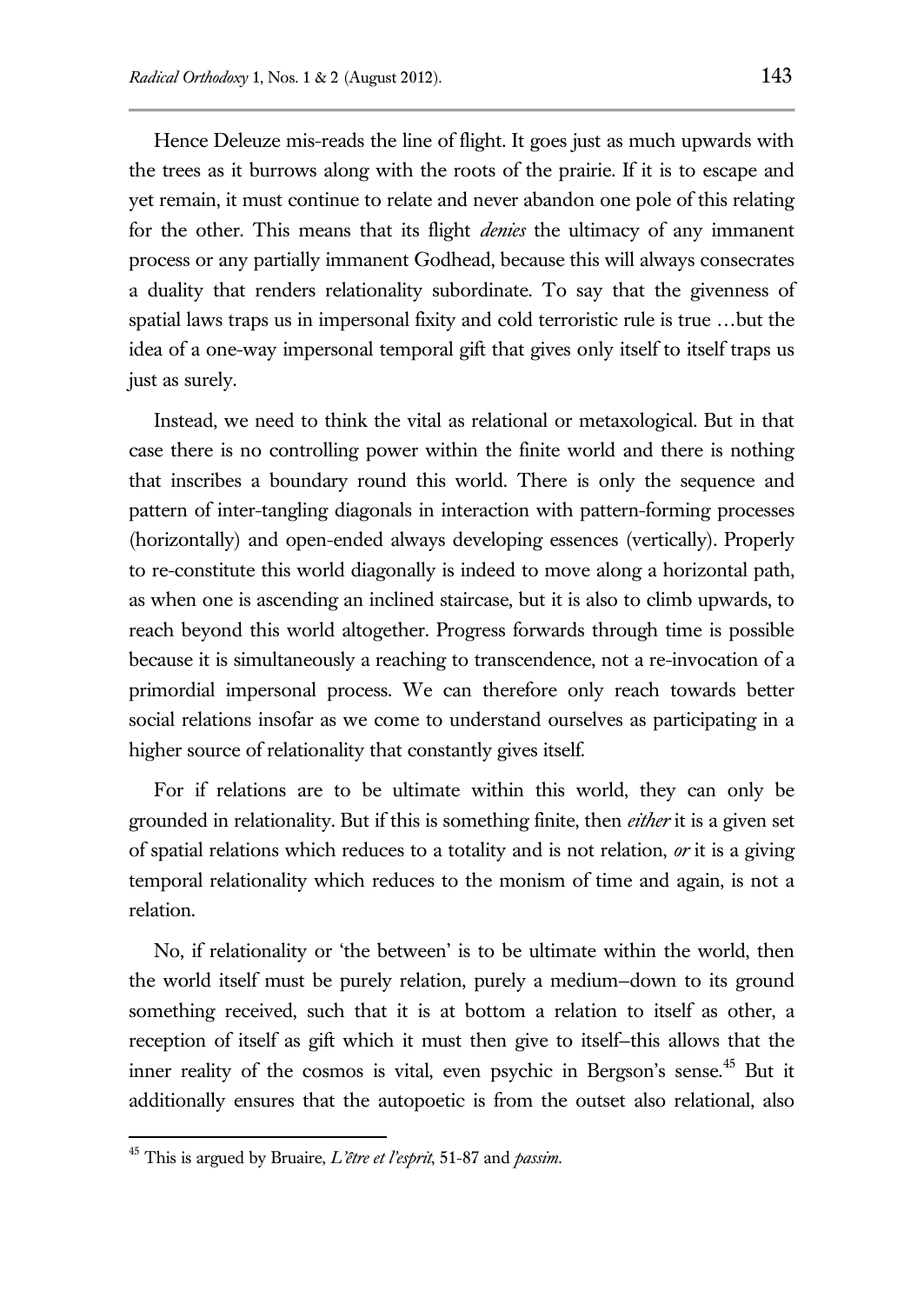Hence Deleuze mis-reads the line of flight. It goes just as much upwards with the trees as it burrows along with the roots of the prairie. If it is to escape and yet remain, it must continue to relate and never abandon one pole of this relating for the other. This means that its flight *denies* the ultimacy of any immanent process or any partially immanent Godhead, because this will always consecrates a duality that renders relationality subordinate. To say that the givenness of spatial laws traps us in impersonal fixity and cold terroristic rule is true …but the idea of a one-way impersonal temporal gift that gives only itself to itself traps us just as surely.

Instead, we need to think the vital as relational or metaxological. But in that case there is no controlling power within the finite world and there is nothing that inscribes a boundary round this world. There is only the sequence and pattern of inter-tangling diagonals in interaction with pattern-forming processes (horizontally) and open-ended always developing essences (vertically). Properly to re-constitute this world diagonally is indeed to move along a horizontal path, as when one is ascending an inclined staircase, but it is also to climb upwards, to reach beyond this world altogether. Progress forwards through time is possible because it is simultaneously a reaching to transcendence, not a re-invocation of a primordial impersonal process. We can therefore only reach towards better social relations insofar as we come to understand ourselves as participating in a higher source of relationality that constantly gives itself.

For if relations are to be ultimate within this world, they can only be grounded in relationality. But if this is something finite, then *either* it is a given set of spatial relations which reduces to a totality and is not relation, *or* it is a giving temporal relationality which reduces to the monism of time and again, is not a relation.

No, if relationality or 'the between' is to be ultimate within the world, then the world itself must be purely relation, purely a medium—down to its ground something received, such that it is at bottom a relation to itself as other, a reception of itself as gift which it must then give to itself—this allows that the inner reality of the cosmos is vital, even psychic in Bergson's sense.<sup>45</sup> But it additionally ensures that the autopoetic is from the outset also relational, also

<sup>45</sup> This is argued by Bruaire, *L'être et l'esprit*, 51-87 and *passim*.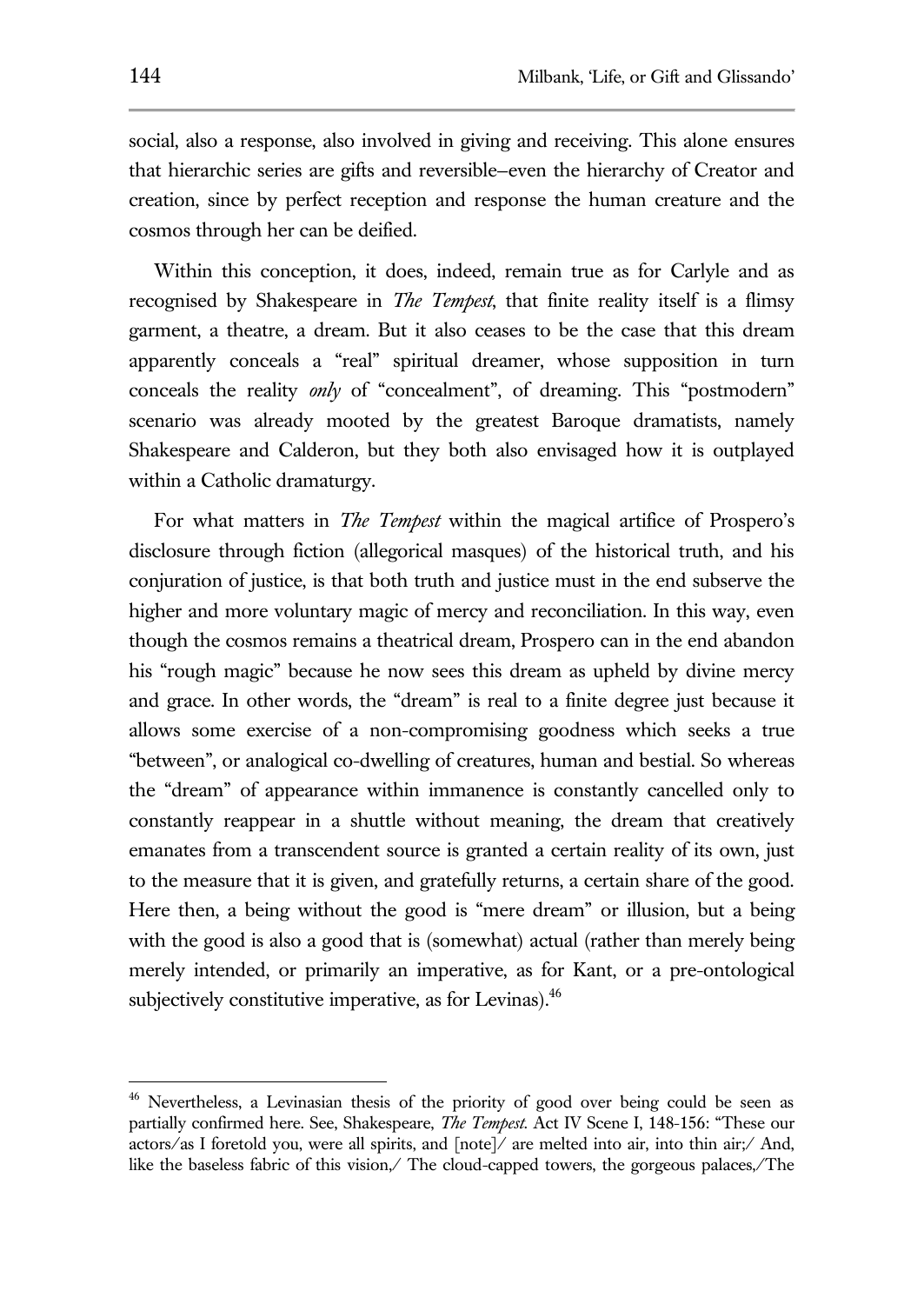social, also a response, also involved in giving and receiving. This alone ensures that hierarchic series are gifts and reversible—even the hierarchy of Creator and creation, since by perfect reception and response the human creature and the cosmos through her can be deified.

Within this conception, it does, indeed, remain true as for Carlyle and as recognised by Shakespeare in *The Tempest*, that finite reality itself is a flimsy garment, a theatre, a dream. But it also ceases to be the case that this dream apparently conceals a "real" spiritual dreamer, whose supposition in turn conceals the reality *only* of "concealment", of dreaming. This "postmodern" scenario was already mooted by the greatest Baroque dramatists, namely Shakespeare and Calderon, but they both also envisaged how it is outplayed within a Catholic dramaturgy.

For what matters in *The Tempest* within the magical artifice of Prospero's disclosure through fiction (allegorical masques) of the historical truth, and his conjuration of justice, is that both truth and justice must in the end subserve the higher and more voluntary magic of mercy and reconciliation. In this way, even though the cosmos remains a theatrical dream, Prospero can in the end abandon his "rough magic" because he now sees this dream as upheld by divine mercy and grace. In other words, the "dream" is real to a finite degree just because it allows some exercise of a non-compromising goodness which seeks a true "between", or analogical co-dwelling of creatures, human and bestial. So whereas the "dream" of appearance within immanence is constantly cancelled only to constantly reappear in a shuttle without meaning, the dream that creatively emanates from a transcendent source is granted a certain reality of its own, just to the measure that it is given, and gratefully returns, a certain share of the good. Here then, a being without the good is "mere dream" or illusion, but a being with the good is also a good that is (somewhat) actual (rather than merely being merely intended, or primarily an imperative, as for Kant, or a pre-ontological subjectively constitutive imperative, as for Levinas). $^{46}$ 

<sup>&</sup>lt;sup>46</sup> Nevertheless, a Levinasian thesis of the priority of good over being could be seen as partially confirmed here. See, Shakespeare, *The Tempest.* Act IV Scene I, 148-156: "These our actors/as I foretold you, were all spirits, and [note]/ are melted into air, into thin air;/ And, like the baseless fabric of this vision,/ The cloud-capped towers, the gorgeous palaces,/The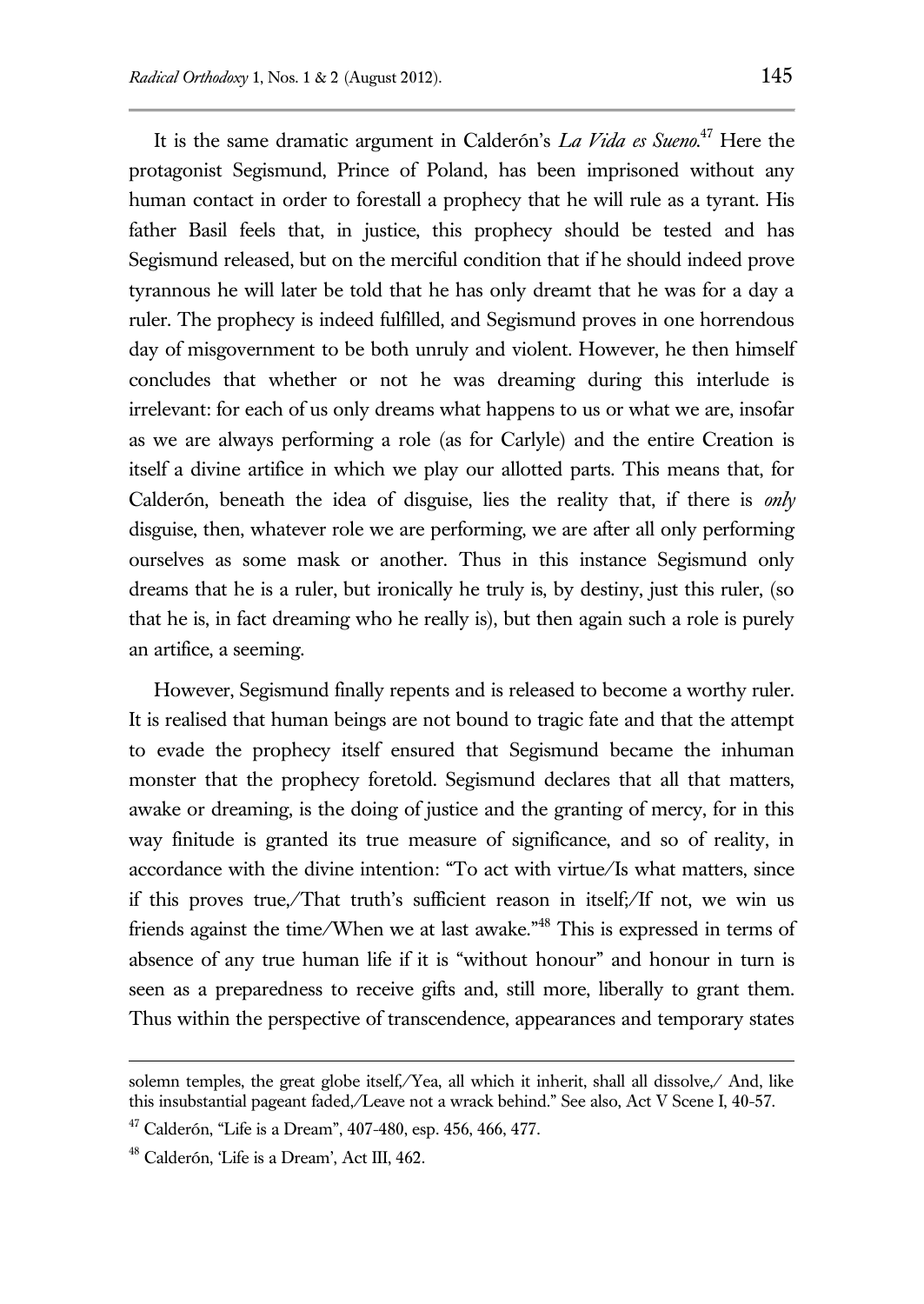It is the same dramatic argument in Calderón's *La Vida es Sueno*. <sup>47</sup> Here the protagonist Segismund, Prince of Poland, has been imprisoned without any human contact in order to forestall a prophecy that he will rule as a tyrant. His father Basil feels that, in justice, this prophecy should be tested and has Segismund released, but on the merciful condition that if he should indeed prove tyrannous he will later be told that he has only dreamt that he was for a day a ruler. The prophecy is indeed fulfilled, and Segismund proves in one horrendous day of misgovernment to be both unruly and violent. However, he then himself concludes that whether or not he was dreaming during this interlude is irrelevant: for each of us only dreams what happens to us or what we are, insofar as we are always performing a role (as for Carlyle) and the entire Creation is itself a divine artifice in which we play our allotted parts. This means that, for Calderón, beneath the idea of disguise, lies the reality that, if there is *only* disguise, then, whatever role we are performing, we are after all only performing ourselves as some mask or another. Thus in this instance Segismund only dreams that he is a ruler, but ironically he truly is, by destiny, just this ruler, (so that he is, in fact dreaming who he really is), but then again such a role is purely an artifice, a seeming.

However, Segismund finally repents and is released to become a worthy ruler. It is realised that human beings are not bound to tragic fate and that the attempt to evade the prophecy itself ensured that Segismund became the inhuman monster that the prophecy foretold. Segismund declares that all that matters, awake or dreaming, is the doing of justice and the granting of mercy, for in this way finitude is granted its true measure of significance, and so of reality, in accordance with the divine intention: "To act with virtue/Is what matters, since if this proves true,/That truth's sufficient reason in itself;/If not, we win us friends against the time/When we at last awake."<sup>48</sup> This is expressed in terms of absence of any true human life if it is "without honour" and honour in turn is seen as a preparedness to receive gifts and, still more, liberally to grant them. Thus within the perspective of transcendence, appearances and temporary states

solemn temples, the great globe itself,  $Y$ ea, all which it inherit, shall all dissolve, And, like this insubstantial pageant faded,/Leave not a wrack behind." See also, Act V Scene I, 40-57.

 $47$  Calderón, "Life is a Dream", 407-480, esp. 456, 466, 477.

<sup>48</sup> Calderón, 'Life is a Dream', Act III, 462.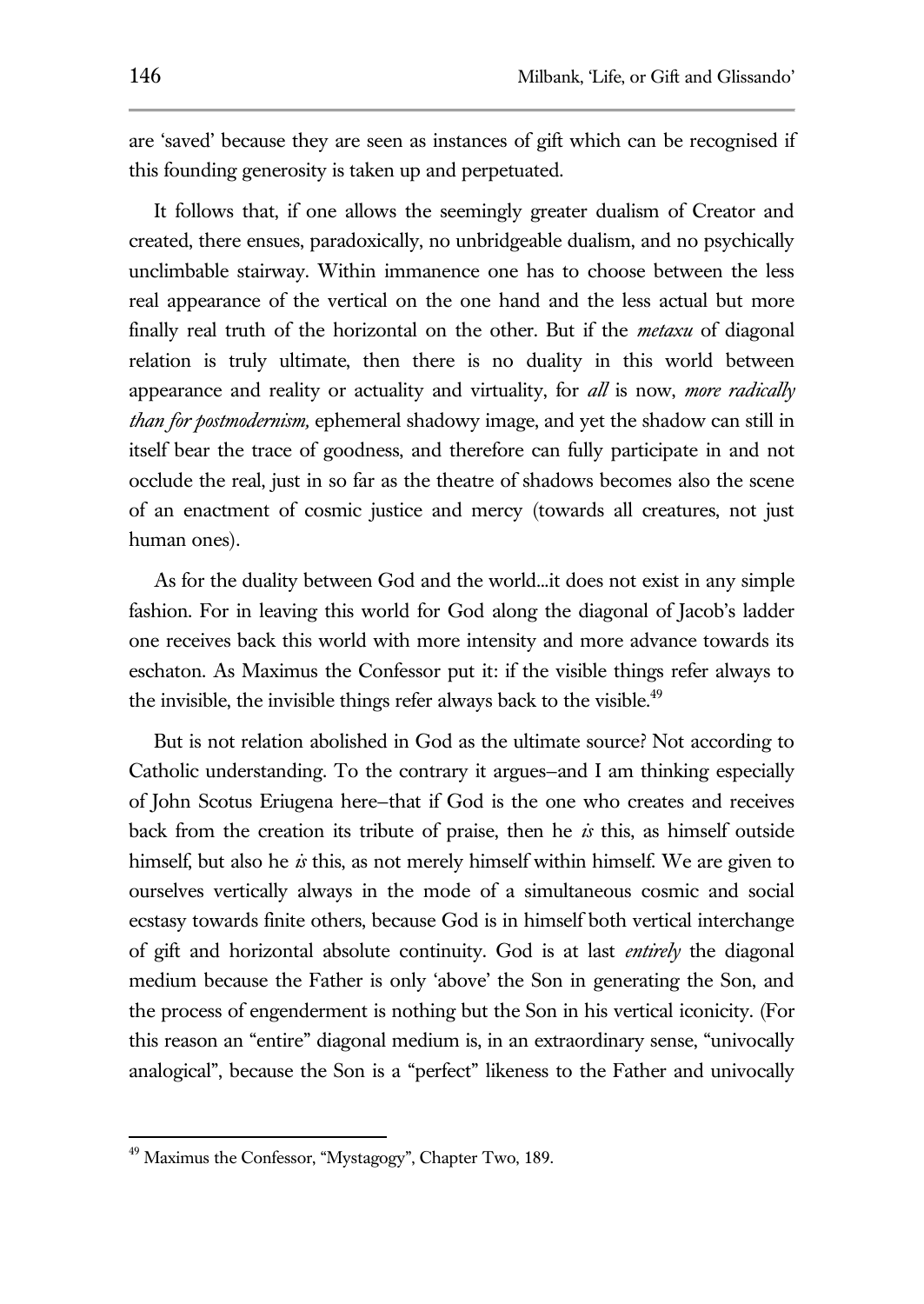are 'saved' because they are seen as instances of gift which can be recognised if this founding generosity is taken up and perpetuated.

It follows that, if one allows the seemingly greater dualism of Creator and created, there ensues, paradoxically, no unbridgeable dualism, and no psychically unclimbable stairway. Within immanence one has to choose between the less real appearance of the vertical on the one hand and the less actual but more finally real truth of the horizontal on the other. But if the *metaxu* of diagonal relation is truly ultimate, then there is no duality in this world between appearance and reality or actuality and virtuality, for *all* is now, *more radically than for postmodernism,* ephemeral shadowy image, and yet the shadow can still in itself bear the trace of goodness, and therefore can fully participate in and not occlude the real, just in so far as the theatre of shadows becomes also the scene of an enactment of cosmic justice and mercy (towards all creatures, not just human ones).

As for the duality between God and the world...it does not exist in any simple fashion. For in leaving this world for God along the diagonal of Jacob's ladder one receives back this world with more intensity and more advance towards its eschaton. As Maximus the Confessor put it: if the visible things refer always to the invisible, the invisible things refer always back to the visible.<sup>49</sup>

But is not relation abolished in God as the ultimate source? Not according to Catholic understanding. To the contrary it argues—and I am thinking especially of John Scotus Eriugena here—that if God is the one who creates and receives back from the creation its tribute of praise, then he *is* this, as himself outside himself, but also he *is* this, as not merely himself within himself. We are given to ourselves vertically always in the mode of a simultaneous cosmic and social ecstasy towards finite others, because God is in himself both vertical interchange of gift and horizontal absolute continuity. God is at last *entirely* the diagonal medium because the Father is only 'above' the Son in generating the Son, and the process of engenderment is nothing but the Son in his vertical iconicity. (For this reason an "entire" diagonal medium is, in an extraordinary sense, "univocally analogical", because the Son is a "perfect" likeness to the Father and univocally

<sup>&</sup>lt;sup>49</sup> Maximus the Confessor, "Mystagogy", Chapter Two, 189.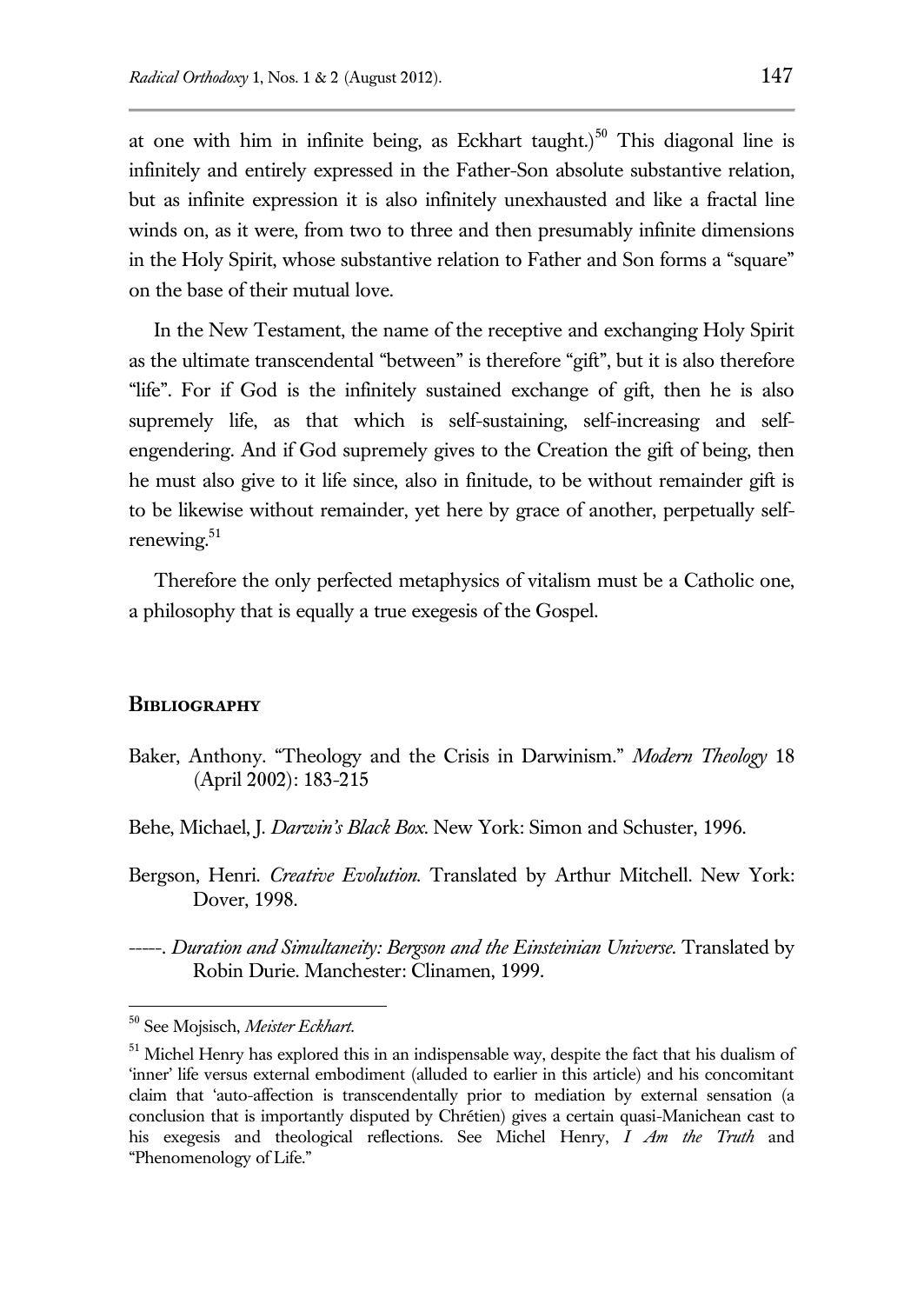at one with him in infinite being, as Eckhart taught.)<sup>50</sup> This diagonal line is infinitely and entirely expressed in the Father-Son absolute substantive relation, but as infinite expression it is also infinitely unexhausted and like a fractal line winds on, as it were, from two to three and then presumably infinite dimensions in the Holy Spirit, whose substantive relation to Father and Son forms a "square" on the base of their mutual love.

In the New Testament, the name of the receptive and exchanging Holy Spirit as the ultimate transcendental "between" is therefore "gift", but it is also therefore "life". For if God is the infinitely sustained exchange of gift, then he is also supremely life, as that which is self-sustaining, self-increasing and selfengendering. And if God supremely gives to the Creation the gift of being, then he must also give to it life since, also in finitude, to be without remainder gift is to be likewise without remainder, yet here by grace of another, perpetually selfrenewing. $51$ 

Therefore the only perfected metaphysics of vitalism must be a Catholic one, a philosophy that is equally a true exegesis of the Gospel.

#### **Bibliography**

- Baker, Anthony. "Theology and the Crisis in Darwinism." *Modern Theology* 18 (April 2002): 183-215
- Behe, Michael, J. *Darwin's Black Box.* New York: Simon and Schuster, 1996.
- Bergson, Henri. *Creative Evolution*. Translated by Arthur Mitchell. New York: Dover, 1998.
- -----. *Duration and Simultaneity: Bergson and the Einsteinian Universe.* Translated by Robin Durie. Manchester: Clinamen, 1999.

<sup>50</sup> See Mojsisch, *Meister Eckhart.* 

<sup>&</sup>lt;sup>51</sup> Michel Henry has explored this in an indispensable way, despite the fact that his dualism of 'inner' life versus external embodiment (alluded to earlier in this article) and his concomitant claim that 'auto-affection is transcendentally prior to mediation by external sensation (a conclusion that is importantly disputed by Chrétien) gives a certain quasi-Manichean cast to his exegesis and theological reflections. See Michel Henry, *I Am the Truth* and "Phenomenology of Life."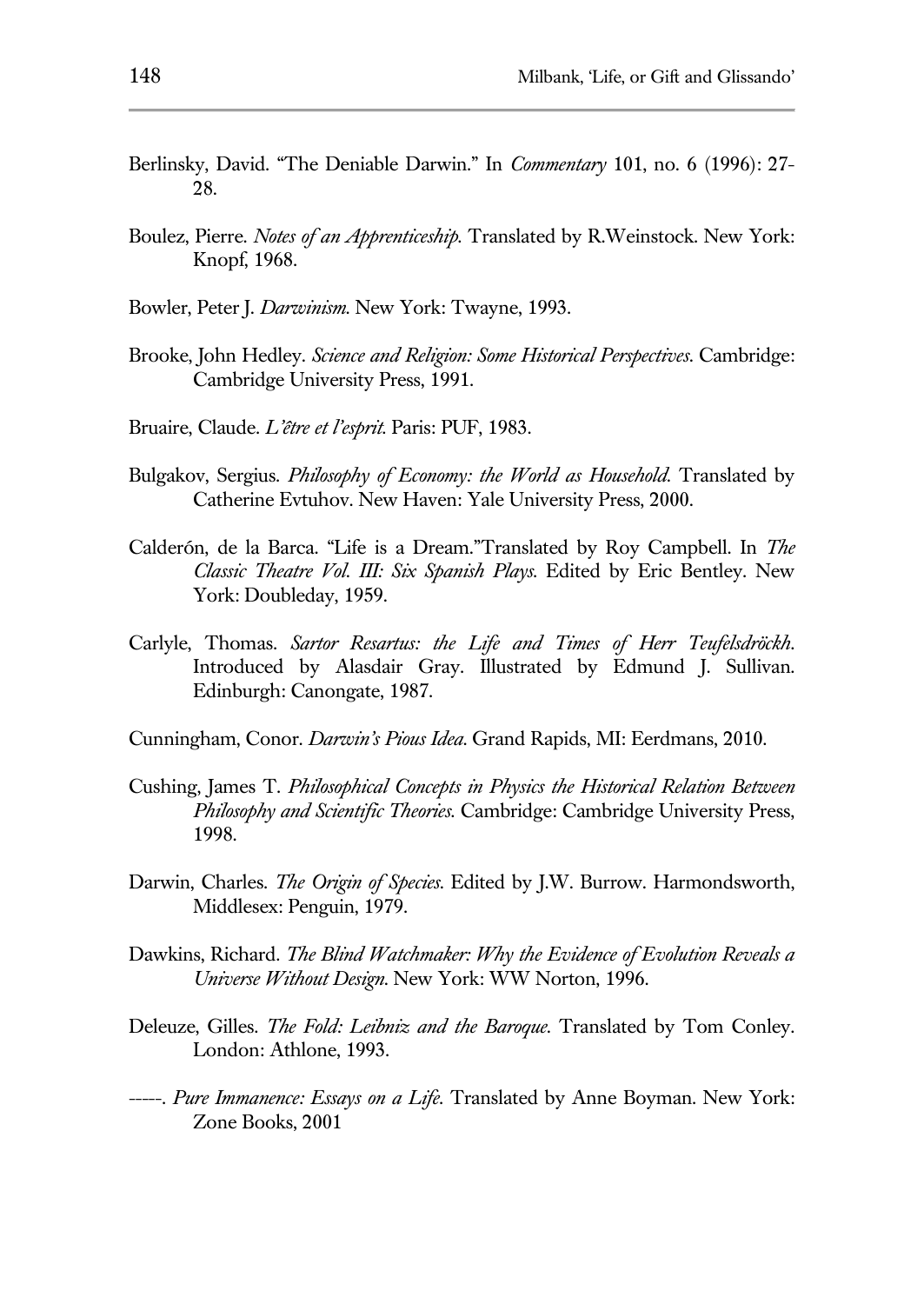- Berlinsky, David. "The Deniable Darwin." In *Commentary* 101, no. 6 (1996): 27- 28.
- Boulez, Pierre. *Notes of an Apprenticeship.* Translated by R.Weinstock. New York: Knopf, 1968.
- Bowler, Peter J. *Darwinism*. New York: Twayne, 1993.
- Brooke, John Hedley. *Science and Religion: Some Historical Perspectives*. Cambridge: Cambridge University Press, 1991.
- Bruaire, Claude. *L'être et l'esprit.* Paris: PUF, 1983.
- Bulgakov, Sergius. *Philosophy of Economy: the World as Household.* Translated by Catherine Evtuhov. New Haven: Yale University Press, 2000.
- Calderón, de la Barca. "Life is a Dream."Translated by Roy Campbell. In *The Classic Theatre Vol. III: Six Spanish Plays.* Edited by Eric Bentley. New York: Doubleday, 1959.
- Carlyle, Thomas*. Sartor Resartus: the Life and Times of Herr Teufelsdröckh*. Introduced by Alasdair Gray. Illustrated by Edmund J. Sullivan. Edinburgh: Canongate, 1987.
- Cunningham, Conor. *Darwin's Pious Idea.* Grand Rapids, MI: Eerdmans, 2010.
- Cushing, James T. *Philosophical Concepts in Physics the Historical Relation Between Philosophy and Scientific Theories.* Cambridge: Cambridge University Press, 1998.
- Darwin, Charles. *The Origin of Species.* Edited by J.W. Burrow. Harmondsworth, Middlesex: Penguin, 1979.
- Dawkins, Richard*. The Blind Watchmaker: Why the Evidence of Evolution Reveals a Universe Without Design*. New York: WW Norton, 1996.
- Deleuze, Gilles. *The Fold: Leibniz and the Baroque.* Translated by Tom Conley. London: Athlone, 1993.
- -----. *Pure Immanence: Essays on a Life.* Translated by Anne Boyman. New York: Zone Books, 2001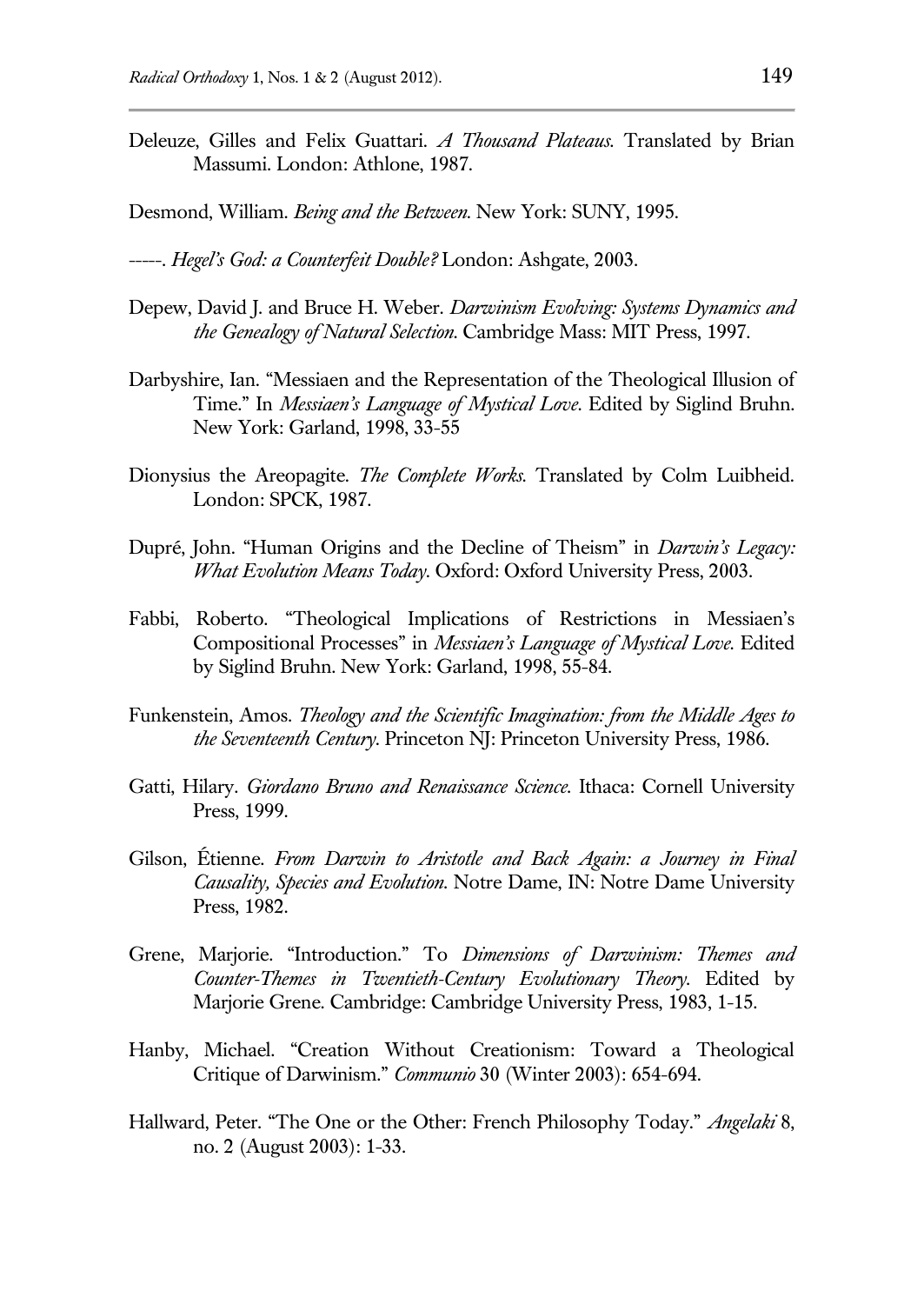Deleuze, Gilles and Felix Guattari. *A Thousand Plateaus.* Translated by Brian Massumi. London: Athlone, 1987.

Desmond, William. *Being and the Between.* New York: SUNY, 1995.

-----. *Hegel's God: a Counterfeit Double?* London: Ashgate, 2003.

- Depew, David J. and Bruce H. Weber. *Darwinism Evolving: Systems Dynamics and the Genealogy of Natural Selection*. Cambridge Mass: MIT Press, 1997.
- Darbyshire, Ian. "Messiaen and the Representation of the Theological Illusion of Time." In *Messiaen's Language of Mystical Love*. Edited by Siglind Bruhn. New York: Garland, 1998, 33-55
- Dionysius the Areopagite. *The Complete Works.* Translated by Colm Luibheid. London: SPCK, 1987.
- Dupré, John. "Human Origins and the Decline of Theism" in *Darwin's Legacy: What Evolution Means Today.* Oxford: Oxford University Press, 2003.
- Fabbi, Roberto. "Theological Implications of Restrictions in Messiaen's Compositional Processes" in *Messiaen's Language of Mystical Love.* Edited by Siglind Bruhn. New York: Garland, 1998, 55-84.
- Funkenstein, Amos*. Theology and the Scientific Imagination: from the Middle Ages to the Seventeenth Century*. Princeton NJ: Princeton University Press, 1986.
- Gatti, Hilary. *Giordano Bruno and Renaissance Science.* Ithaca: Cornell University Press, 1999.
- Gilson, Étienne. *From Darwin to Aristotle and Back Again: a Journey in Final Causality, Species and Evolution*. Notre Dame, IN: Notre Dame University Press, 1982.
- Grene, Marjorie. "Introduction." To *Dimensions of Darwinism: Themes and Counter-Themes in Twentieth-Century Evolutionary Theory.* Edited by Marjorie Grene*.* Cambridge: Cambridge University Press, 1983, 1-15.
- Hanby, Michael. "Creation Without Creationism: Toward a Theological Critique of Darwinism." *Communio* 30 (Winter 2003): 654-694.
- Hallward, Peter. "The One or the Other: French Philosophy Today." *Angelaki* 8, no. 2 (August 2003): 1-33.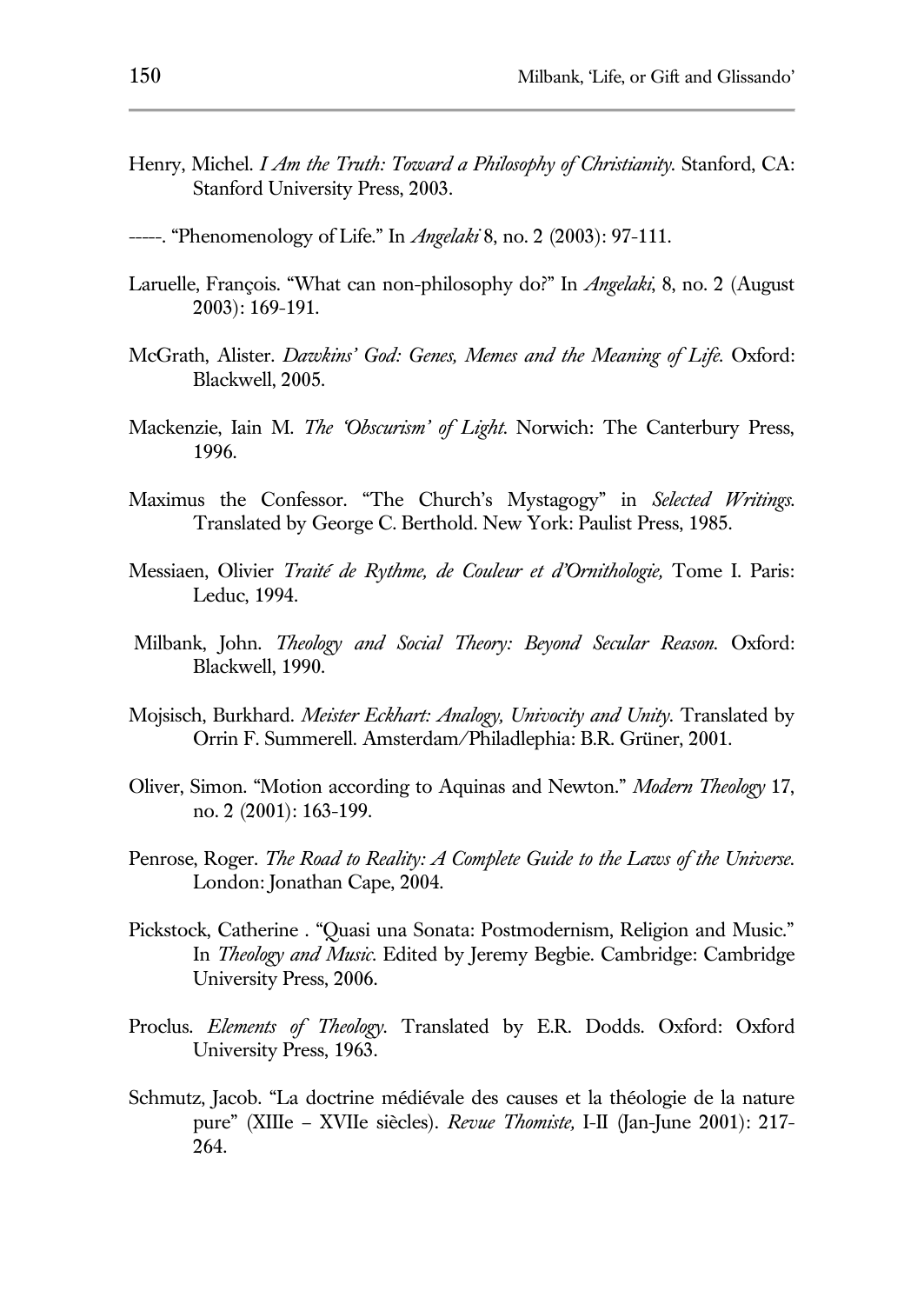- Henry, Michel. *I Am the Truth: Toward a Philosophy of Christianity.* Stanford, CA: Stanford University Press, 2003.
- -----. "Phenomenology of Life." In *Angelaki* 8, no. 2 (2003): 97-111.
- Laruelle, François. "What can non-philosophy do?" In *Angelaki*, 8, no. 2 (August 2003): 169-191.
- McGrath, Alister*. Dawkins' God: Genes, Memes and the Meaning of Life.* Oxford: Blackwell, 2005.
- Mackenzie, Iain M. *The 'Obscurism' of Light*. Norwich: The Canterbury Press, 1996.
- Maximus the Confessor. "The Church's Mystagogy" in *Selected Writings.* Translated by George C. Berthold. New York: Paulist Press, 1985.
- Messiaen, Olivier *Traité de Rythme, de Couleur et d'Ornithologie,* Tome I. Paris: Leduc, 1994.
- Milbank, John. *Theology and Social Theory: Beyond Secular Reason.* Oxford: Blackwell, 1990.
- Mojsisch, Burkhard. *Meister Eckhart: Analogy, Univocity and Unity.* Translated by Orrin F. Summerell. Amsterdam/Philadlephia: B.R. Grüner, 2001.
- Oliver, Simon. "Motion according to Aquinas and Newton." *Modern Theology* 17, no. 2 (2001): 163-199.
- Penrose, Roger. *The Road to Reality: A Complete Guide to the Laws of the Universe.* London: Jonathan Cape, 2004.
- Pickstock, Catherine . "Quasi una Sonata: Postmodernism, Religion and Music." In *Theology and Music.* Edited by Jeremy Begbie. Cambridge: Cambridge University Press, 2006.
- Proclus. *Elements of Theology.* Translated by E.R. Dodds. Oxford: Oxford University Press, 1963.
- Schmutz, Jacob. "La doctrine médiévale des causes et la théologie de la nature pure" (XIIIe – XVIIe siècles). *Revue Thomiste,* I-II (Jan-June 2001): 217- 264.